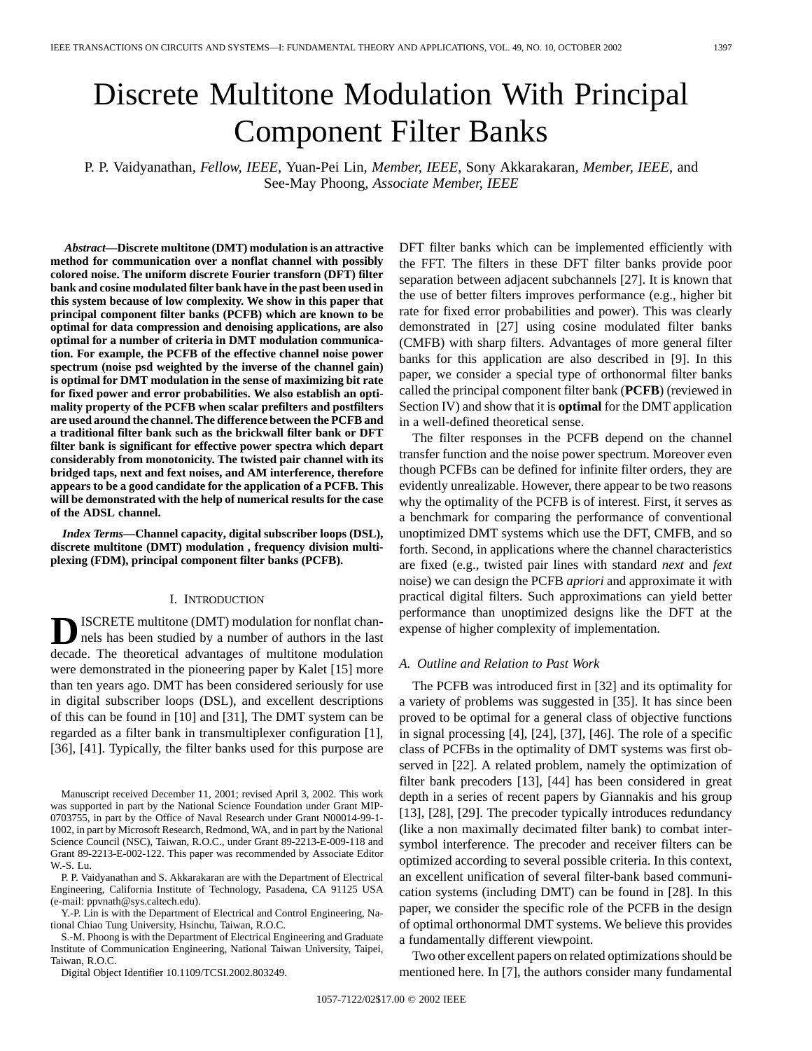# Discrete Multitone Modulation With Principal Component Filter Banks

P. P. Vaidyanathan*, Fellow, IEEE*, Yuan-Pei Lin*, Member, IEEE*, Sony Akkarakaran*, Member, IEEE*, and See-May Phoong*, Associate Member, IEEE*

*Abstract—***Discrete multitone (DMT) modulation is an attractive method for communication over a nonflat channel with possibly colored noise. The uniform discrete Fourier transforn (DFT) filter bank and cosine modulated filter bank have in the past been used in this system because of low complexity. We show in this paper that principal component filter banks (PCFB) which are known to be optimal for data compression and denoising applications, are also optimal for a number of criteria in DMT modulation communication. For example, the PCFB of the effective channel noise power spectrum (noise psd weighted by the inverse of the channel gain) is optimal for DMT modulation in the sense of maximizing bit rate for fixed power and error probabilities. We also establish an optimality property of the PCFB when scalar prefilters and postfilters are used around the channel. The difference between the PCFB and a traditional filter bank such as the brickwall filter bank or DFT filter bank is significant for effective power spectra which depart considerably from monotonicity. The twisted pair channel with its bridged taps, next and fext noises, and AM interference, therefore appears to be a good candidate for the application of a PCFB. This will be demonstrated with the help of numerical results for the case of the ADSL channel.**

*Index Terms—***Channel capacity, digital subscriber loops (DSL), discrete multitone (DMT) modulation , frequency division multiplexing (FDM), principal component filter banks (PCFB).**

## I. INTRODUCTION

**ISCRETE** multitone (DMT) modulation for nonflat channels has been studied by a number of authors in the last decade. The theoretical advantages of multitone modulation were demonstrated in the pioneering paper by Kalet [15] more than ten years ago. DMT has been considered seriously for use in digital subscriber loops (DSL), and excellent descriptions of this can be found in [10] and [31], The DMT system can be regarded as a filter bank in transmultiplexer configuration [1], [36], [41]. Typically, the filter banks used for this purpose are

Manuscript received December 11, 2001; revised April 3, 2002. This work was supported in part by the National Science Foundation under Grant MIP-0703755, in part by the Office of Naval Research under Grant N00014-99-1- 1002, in part by Microsoft Research, Redmond, WA, and in part by the National Science Council (NSC), Taiwan, R.O.C., under Grant 89-2213-E-009-118 and Grant 89-2213-E-002-122. This paper was recommended by Associate Editor W.-S. Lu.

P. P. Vaidyanathan and S. Akkarakaran are with the Department of Electrical Engineering, California Institute of Technology, Pasadena, CA 91125 USA (e-mail: ppvnath@sys.caltech.edu).

Y.-P. Lin is with the Department of Electrical and Control Engineering, National Chiao Tung University, Hsinchu, Taiwan, R.O.C.

S.-M. Phoong is with the Department of Electrical Engineering and Graduate Institute of Communication Engineering, National Taiwan University, Taipei, Taiwan, R.O.C.

Digital Object Identifier 10.1109/TCSI.2002.803249.

DFT filter banks which can be implemented efficiently with the FFT. The filters in these DFT filter banks provide poor separation between adjacent subchannels [27]. It is known that the use of better filters improves performance (e.g., higher bit rate for fixed error probabilities and power). This was clearly demonstrated in [27] using cosine modulated filter banks (CMFB) with sharp filters. Advantages of more general filter banks for this application are also described in [9]. In this paper, we consider a special type of orthonormal filter banks called the principal component filter bank (**PCFB**) (reviewed in Section IV) and show that it is **optimal** for the DMT application in a well-defined theoretical sense.

The filter responses in the PCFB depend on the channel transfer function and the noise power spectrum. Moreover even though PCFBs can be defined for infinite filter orders, they are evidently unrealizable. However, there appear to be two reasons why the optimality of the PCFB is of interest. First, it serves as a benchmark for comparing the performance of conventional unoptimized DMT systems which use the DFT, CMFB, and so forth. Second, in applications where the channel characteristics are fixed (e.g., twisted pair lines with standard *next* and *fext* noise) we can design the PCFB *apriori* and approximate it with practical digital filters. Such approximations can yield better performance than unoptimized designs like the DFT at the expense of higher complexity of implementation.

# *A. Outline and Relation to Past Work*

The PCFB was introduced first in [32] and its optimality for a variety of problems was suggested in [35]. It has since been proved to be optimal for a general class of objective functions in signal processing [4], [24], [37], [46]. The role of a specific class of PCFBs in the optimality of DMT systems was first observed in [22]. A related problem, namely the optimization of filter bank precoders [13], [44] has been considered in great depth in a series of recent papers by Giannakis and his group [13], [28], [29]. The precoder typically introduces redundancy (like a non maximally decimated filter bank) to combat intersymbol interference. The precoder and receiver filters can be optimized according to several possible criteria. In this context, an excellent unification of several filter-bank based communication systems (including DMT) can be found in [28]. In this paper, we consider the specific role of the PCFB in the design of optimal orthonormal DMT systems. We believe this provides a fundamentally different viewpoint.

Two other excellent papers on related optimizations should be mentioned here. In [7], the authors consider many fundamental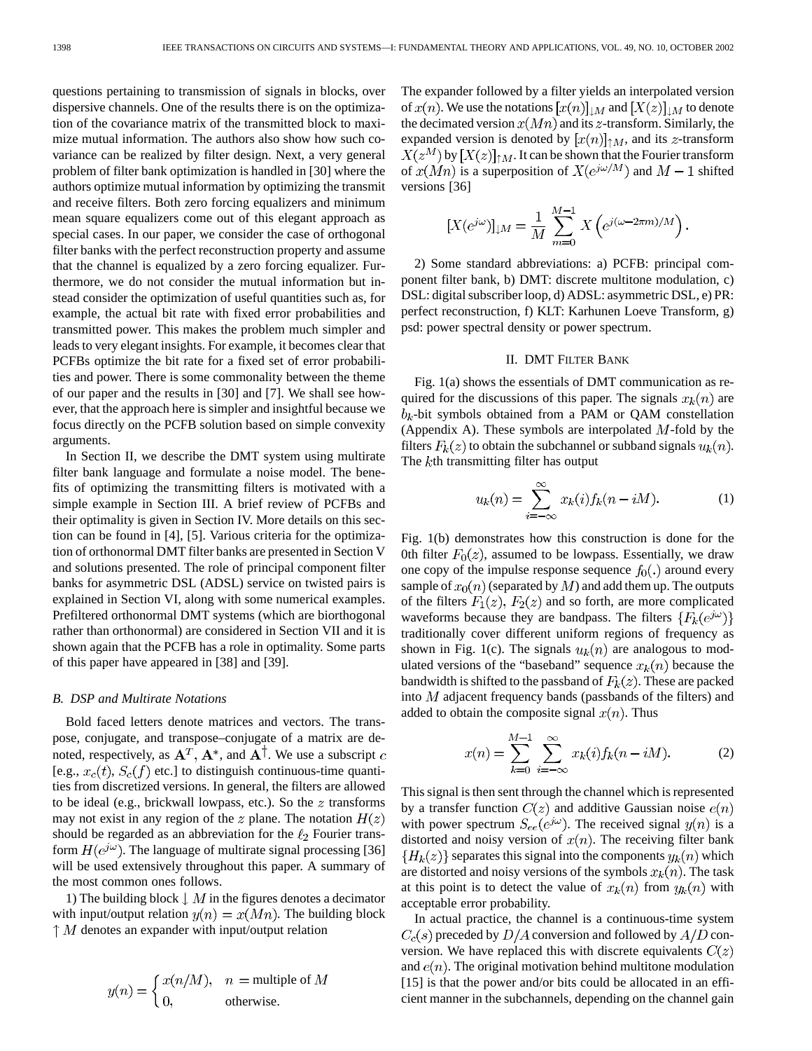questions pertaining to transmission of signals in blocks, over dispersive channels. One of the results there is on the optimization of the covariance matrix of the transmitted block to maximize mutual information. The authors also show how such covariance can be realized by filter design. Next, a very general problem of filter bank optimization is handled in [30] where the authors optimize mutual information by optimizing the transmit and receive filters. Both zero forcing equalizers and minimum mean square equalizers come out of this elegant approach as special cases. In our paper, we consider the case of orthogonal filter banks with the perfect reconstruction property and assume that the channel is equalized by a zero forcing equalizer. Furthermore, we do not consider the mutual information but instead consider the optimization of useful quantities such as, for example, the actual bit rate with fixed error probabilities and transmitted power. This makes the problem much simpler and leads to very elegant insights. For example, it becomes clear that PCFBs optimize the bit rate for a fixed set of error probabilities and power. There is some commonality between the theme of our paper and the results in [30] and [7]. We shall see however, that the approach here is simpler and insightful because we focus directly on the PCFB solution based on simple convexity arguments.

In Section II, we describe the DMT system using multirate filter bank language and formulate a noise model. The benefits of optimizing the transmitting filters is motivated with a simple example in Section III. A brief review of PCFBs and their optimality is given in Section IV. More details on this section can be found in [4], [5]. Various criteria for the optimization of orthonormal DMT filter banks are presented in Section V and solutions presented. The role of principal component filter banks for asymmetric DSL (ADSL) service on twisted pairs is explained in Section VI, along with some numerical examples. Prefiltered orthonormal DMT systems (which are biorthogonal rather than orthonormal) are considered in Section VII and it is shown again that the PCFB has a role in optimality. Some parts of this paper have appeared in [38] and [39].

#### *B. DSP and Multirate Notations*

Bold faced letters denote matrices and vectors. The transpose, conjugate, and transpose–conjugate of a matrix are denoted, respectively, as  $A^T$ ,  $A^*$ , and  $A^{\dagger}$ . We use a subscript c [e.g.,  $x_c(t)$ ,  $S_c(f)$  etc.] to distinguish continuous-time quantities from discretized versions. In general, the filters are allowed to be ideal (e.g., brickwall lowpass, etc.). So the  $z$  transforms may not exist in any region of the z plane. The notation  $H(z)$ should be regarded as an abbreviation for the  $\ell_2$  Fourier transform  $H(e^{j\omega})$ . The language of multirate signal processing [36] will be used extensively throughout this paper. A summary of the most common ones follows.

1) The building block  $\downarrow M$  in the figures denotes a decimator with input/output relation  $y(n) = x(Mn)$ . The building block  $\uparrow$  *M* denotes an expander with input/output relation

$$
y(n) = \begin{cases} x(n/M), & n = \text{multiple of } M \\ 0, & \text{otherwise.} \end{cases}
$$

The expander followed by a filter yields an interpolated version of  $x(n)$ . We use the notations  $[x(n)]_{\downarrow M}$  and  $[X(z)]_{\downarrow M}$  to denote the decimated version  $x(Mn)$  and its z-transform. Similarly, the expanded version is denoted by  $[x(n)]_{\uparrow M}$ , and its *z*-transform  $X(z^M)$  by  $[X(z)]_{\uparrow M}$ . It can be shown that the Fourier transform of  $x(Mn)$  is a superposition of  $X(e^{j\omega/M})$  and  $M-1$  shifted versions [36]

$$
[X(e^{j\omega})]_{\downarrow M} = \frac{1}{M} \sum_{m=0}^{M-1} X\left(e^{j(\omega - 2\pi m)/M}\right)
$$

2) Some standard abbreviations: a) PCFB: principal component filter bank, b) DMT: discrete multitone modulation, c) DSL: digital subscriber loop, d) ADSL: asymmetric DSL, e) PR: perfect reconstruction, f) KLT: Karhunen Loeve Transform, g) psd: power spectral density or power spectrum.

## II. DMT FILTER BANK

Fig. 1(a) shows the essentials of DMT communication as required for the discussions of this paper. The signals  $x_k(n)$  are  $b_k$ -bit symbols obtained from a PAM or QAM constellation (Appendix A). These symbols are interpolated  $M$ -fold by the filters  $F_k(z)$  to obtain the subchannel or subband signals  $u_k(n)$ . The kth transmitting filter has output

$$
u_k(n) = \sum_{i=-\infty}^{\infty} x_k(i) f_k(n-iM). \tag{1}
$$

Fig. 1(b) demonstrates how this construction is done for the 0th filter  $F_0(z)$ , assumed to be lowpass. Essentially, we draw one copy of the impulse response sequence  $f_0(.)$  around every sample of  $x_0(n)$  (separated by M) and add them up. The outputs of the filters  $F_1(z)$ ,  $F_2(z)$  and so forth, are more complicated waveforms because they are bandpass. The filters  $\{F_k(e^{j\omega})\}$ traditionally cover different uniform regions of frequency as shown in Fig. 1(c). The signals  $u_k(n)$  are analogous to modulated versions of the "baseband" sequence  $x_k(n)$  because the bandwidth is shifted to the passband of  $F_k(z)$ . These are packed into  $M$  adjacent frequency bands (passbands of the filters) and added to obtain the composite signal  $x(n)$ . Thus

$$
x(n) = \sum_{k=0}^{M-1} \sum_{i=-\infty}^{\infty} x_k(i) f_k(n - iM).
$$
 (2)

This signal is then sent through the channel which is represented by a transfer function  $C(z)$  and additive Gaussian noise  $e(n)$ with power spectrum  $S_{ee}(e^{j\omega})$ . The received signal  $y(n)$  is a distorted and noisy version of  $x(n)$ . The receiving filter bank  ${H_k(z)}$  separates this signal into the components  $y_k(n)$  which are distorted and noisy versions of the symbols  $x_k(n)$ . The task at this point is to detect the value of  $x_k(n)$  from  $y_k(n)$  with acceptable error probability.

In actual practice, the channel is a continuous-time system  $C_c(s)$  preceded by  $D/A$  conversion and followed by  $A/D$  conversion. We have replaced this with discrete equivalents  $C(z)$ and  $e(n)$ . The original motivation behind multitone modulation [15] is that the power and/or bits could be allocated in an efficient manner in the subchannels, depending on the channel gain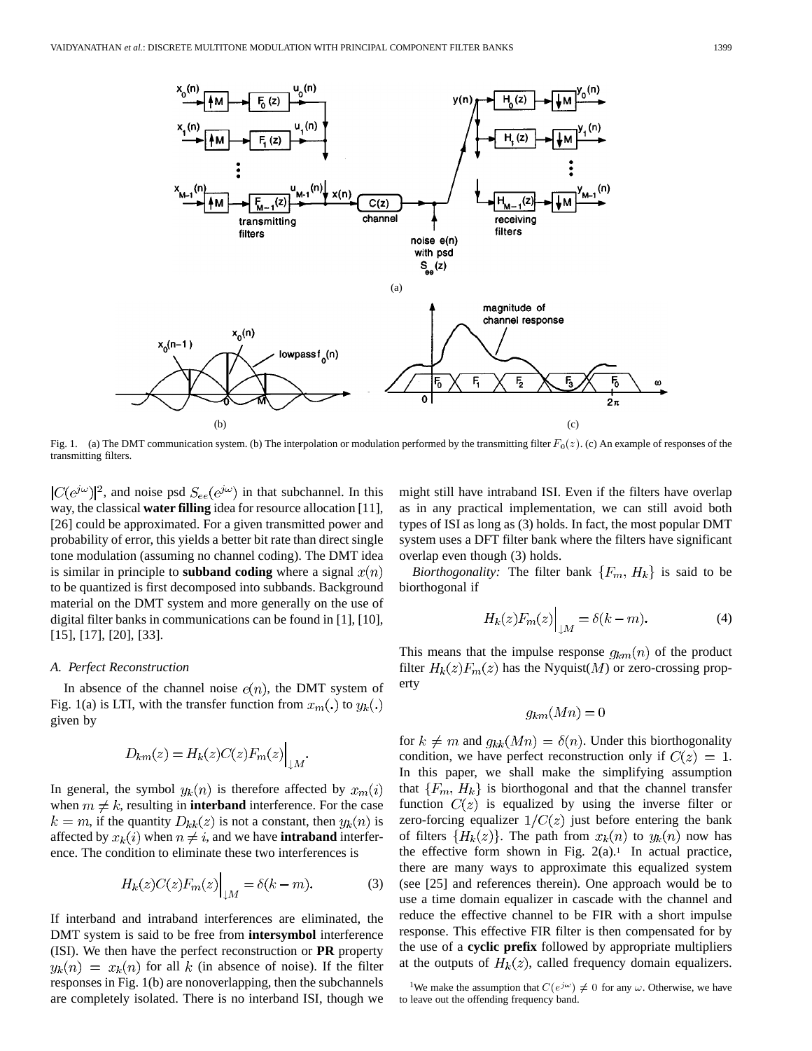

Fig. 1. (a) The DMT communication system. (b) The interpolation or modulation performed by the transmitting filter  $F_0(z)$ . (c) An example of responses of the transmitting filters.

 $|C(e^{j\omega})|^2$ , and noise psd  $S_{ee}(e^{j\omega})$  in that subchannel. In this way, the classical **water filling** idea for resource allocation [11], [26] could be approximated. For a given transmitted power and probability of error, this yields a better bit rate than direct single tone modulation (assuming no channel coding). The DMT idea is similar in principle to **subband coding** where a signal  $x(n)$ to be quantized is first decomposed into subbands. Background material on the DMT system and more generally on the use of digital filter banks in communications can be found in [1], [10], [15], [17], [20], [33].

### *A. Perfect Reconstruction*

In absence of the channel noise  $e(n)$ , the DMT system of Fig. 1(a) is LTI, with the transfer function from  $x_m(.)$  to  $y_k(.)$ given by

$$
D_{km}(z) = H_k(z)C(z)F_m(z)\Big|_{\downarrow M}.
$$

In general, the symbol  $y_k(n)$  is therefore affected by  $x_m(i)$ when  $m \neq k$ , resulting in **interband** interference. For the case  $k = m$ , if the quantity  $D_{kk}(z)$  is not a constant, then  $y_k(n)$  is affected by  $x_k(i)$  when  $n \neq i$ , and we have **intraband** interference. The condition to eliminate these two interferences is

$$
H_k(z)C(z)F_m(z)\Big|_{\downarrow M} = \delta(k-m). \tag{3}
$$

If interband and intraband interferences are eliminated, the DMT system is said to be free from **intersymbol** interference (ISI). We then have the perfect reconstruction or **PR** property  $y_k(n) = x_k(n)$  for all k (in absence of noise). If the filter responses in Fig. 1(b) are nonoverlapping, then the subchannels are completely isolated. There is no interband ISI, though we might still have intraband ISI. Even if the filters have overlap as in any practical implementation, we can still avoid both types of ISI as long as (3) holds. In fact, the most popular DMT system uses a DFT filter bank where the filters have significant overlap even though (3) holds.

*Biorthogonality:* The filter bank  ${F_m, H_k}$  is said to be biorthogonal if

$$
H_k(z)F_m(z)\Big|_{\downarrow M} = \delta(k-m). \tag{4}
$$

This means that the impulse response  $g_{km}(n)$  of the product filter  $H_k(z)F_m(z)$  has the Nyquist(M) or zero-crossing property

$$
g_{km}(Mn) = 0
$$

for  $k \neq m$  and  $g_{kk}(Mn) = \delta(n)$ . Under this biorthogonality condition, we have perfect reconstruction only if  $C(z) = 1$ . In this paper, we shall make the simplifying assumption that  $\{F_m, H_k\}$  is biorthogonal and that the channel transfer function  $C(z)$  is equalized by using the inverse filter or zero-forcing equalizer  $1/C(z)$  just before entering the bank of filters  $\{H_k(z)\}\$ . The path from  $x_k(n)$  to  $y_k(n)$  now has the effective form shown in Fig.  $2(a)$ .<sup>1</sup> In actual practice, there are many ways to approximate this equalized system (see [25] and references therein). One approach would be to use a time domain equalizer in cascade with the channel and reduce the effective channel to be FIR with a short impulse response. This effective FIR filter is then compensated for by the use of a **cyclic prefix** followed by appropriate multipliers at the outputs of  $H_k(z)$ , called frequency domain equalizers.

<sup>&</sup>lt;sup>1</sup>We make the assumption that  $C(e^{j\omega}) \neq 0$  for any  $\omega$ . Otherwise, we have to leave out the offending frequency band.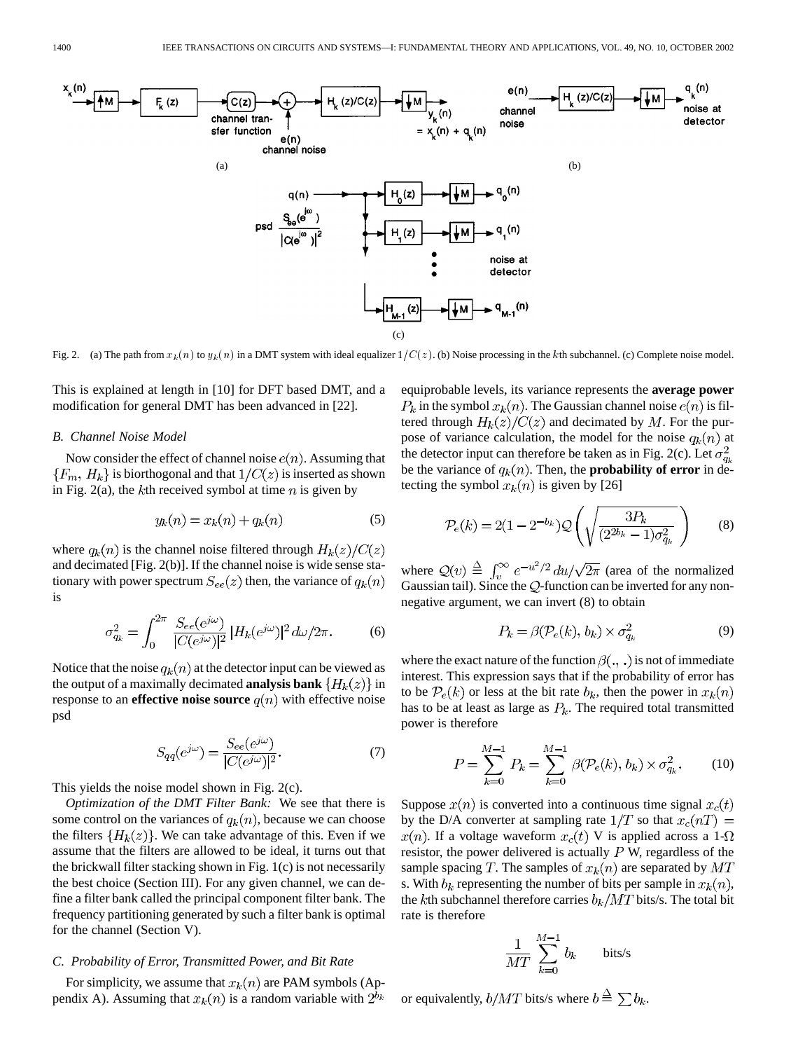

Fig. 2. (a) The path from  $x_k(n)$  to  $y_k(n)$  in a DMT system with ideal equalizer  $1/C(z)$ . (b) Noise processing in the kth subchannel. (c) Complete noise model.

This is explained at length in [10] for DFT based DMT, and a modification for general DMT has been advanced in [22].

## *B. Channel Noise Model*

Now consider the effect of channel noise  $e(n)$ . Assuming that  $\{F_m, H_k\}$  is biorthogonal and that  $1/C(z)$  is inserted as shown in Fig. 2(a), the  $k$ th received symbol at time  $n$  is given by

$$
y_k(n) = x_k(n) + q_k(n) \tag{5}
$$

where  $q_k(n)$  is the channel noise filtered through  $H_k(z)/C(z)$ and decimated [Fig. 2(b)]. If the channel noise is wide sense stationary with power spectrum  $S_{ee}(z)$  then, the variance of  $q_k(n)$ is

$$
\sigma_{q_k}^2 = \int_0^{2\pi} \frac{S_{ee}(e^{j\omega})}{|C(e^{j\omega})|^2} |H_k(e^{j\omega})|^2 d\omega / 2\pi.
$$
 (6)

Notice that the noise  $q_k(n)$  at the detector input can be viewed as the output of a maximally decimated **analysis bank**  $\{H_k(z)\}\$ in response to an **effective noise source**  $q(n)$  with effective noise psd

$$
S_{qq}(e^{j\omega}) = \frac{S_{ee}(e^{j\omega})}{|C(e^{j\omega})|^2}.
$$
\n(7)

This yields the noise model shown in Fig. 2(c).

*Optimization of the DMT Filter Bank:* We see that there is some control on the variances of  $q_k(n)$ , because we can choose the filters  $\{H_k(z)\}\$ . We can take advantage of this. Even if we assume that the filters are allowed to be ideal, it turns out that the brickwall filter stacking shown in Fig. 1(c) is not necessarily the best choice (Section III). For any given channel, we can define a filter bank called the principal component filter bank. The frequency partitioning generated by such a filter bank is optimal for the channel (Section V).

# *C. Probability of Error, Transmitted Power, and Bit Rate*

For simplicity, we assume that  $x_k(n)$  are PAM symbols (Appendix A). Assuming that  $x_k(n)$  is a random variable with  $2^{b_k}$  equiprobable levels, its variance represents the **average power**  $P_k$  in the symbol  $x_k(n)$ . The Gaussian channel noise  $e(n)$  is filtered through  $H_k(z)/C(z)$  and decimated by M. For the purpose of variance calculation, the model for the noise  $q_k(n)$  at the detector input can therefore be taken as in Fig. 2(c). Let  $\sigma_{q_k}^2$ be the variance of  $q_k(n)$ . Then, the **probability of error** in detecting the symbol  $x_k(n)$  is given by [26]

$$
\mathcal{P}_e(k) = 2(1 - 2^{-b_k})\mathcal{Q}\left(\sqrt{\frac{3P_k}{(2^{2b_k} - 1)\sigma_{q_k}^2}}\right)
$$
 (8)

where  $Q(v) \triangleq \int_v^{\infty} e^{-u^2/2} du / \sqrt{2\pi}$  (area of the normalized Gaussian tail). Since the  $Q$ -function can be inverted for any nonnegative argument, we can invert (8) to obtain

$$
P_k = \beta(\mathcal{P}_e(k), b_k) \times \sigma_{q_k}^2 \tag{9}
$$

where the exact nature of the function  $\beta($ , .) is not of immediate interest. This expression says that if the probability of error has to be  $P_e(k)$  or less at the bit rate  $b_k$ , then the power in  $x_k(n)$ has to be at least as large as  $P_k$ . The required total transmitted power is therefore

$$
P = \sum_{k=0}^{M-1} P_k = \sum_{k=0}^{M-1} \beta(\mathcal{P}_e(k), b_k) \times \sigma_{q_k}^2.
$$
 (10)

Suppose  $x(n)$  is converted into a continuous time signal  $x_c(t)$ by the D/A converter at sampling rate  $1/T$  so that  $x_c(nT) =$  $x(n)$ . If a voltage waveform  $x_c(t)$  V is applied across a 1- $\Omega$ resistor, the power delivered is actually  $P$  W, regardless of the sample spacing T. The samples of  $x_k(n)$  are separated by  $MT$ s. With  $b_k$  representing the number of bits per sample in  $x_k(n)$ , the kth subchannel therefore carries  $b_k/MT$  bits/s. The total bit rate is therefore

$$
\frac{1}{MT} \sum_{k=0}^{M-1} b_k
$$
 bits/s

or equivalently,  $b/MT$  bits/s where  $b \triangleq \sum b_k$ .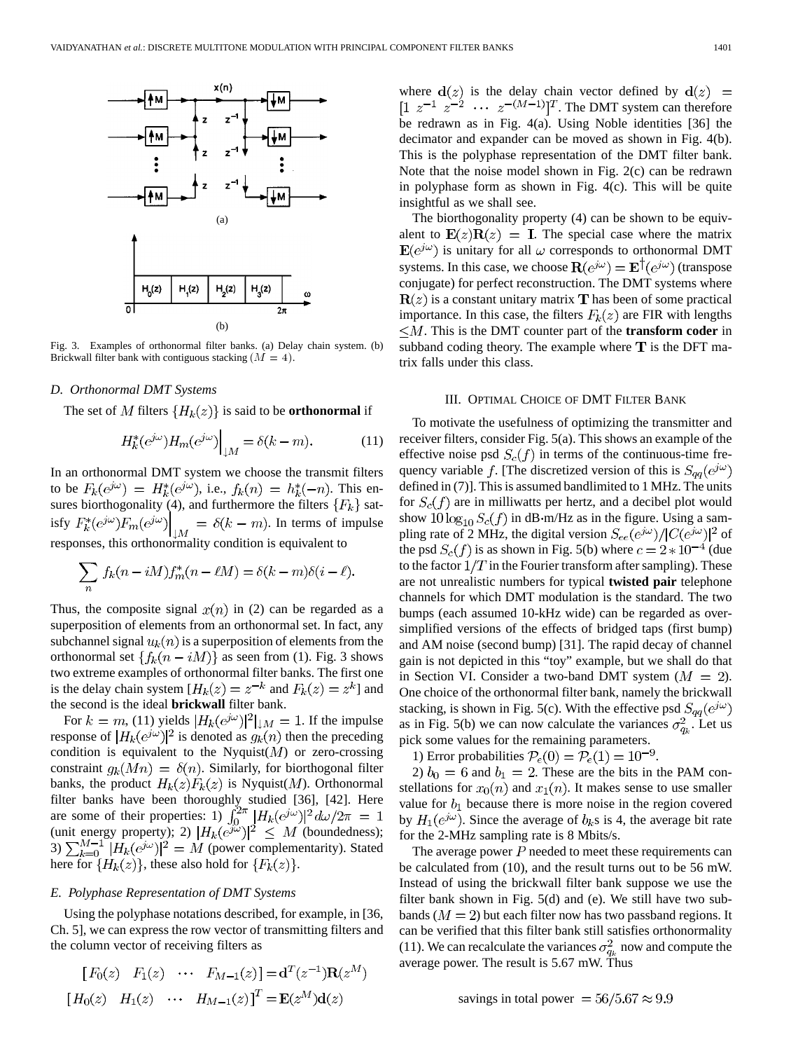

Fig. 3. Examples of orthonormal filter banks. (a) Delay chain system. (b) Brickwall filter bank with contiguous stacking  $(M = 4)$ .

## *D. Orthonormal DMT Systems*

The set of M filters  $\{H_k(z)\}\$ is said to be **orthonormal** if

$$
H_k^*(e^{j\omega})H_m(e^{j\omega})\Big|_{\downarrow M} = \delta(k-m). \tag{11}
$$

In an orthonormal DMT system we choose the transmit filters to be  $F_k(e^{j\omega}) = H_k^*(e^{j\omega})$ , i.e.,  $f_k(n) = h_k^*(-n)$ . This ensures biorthogonality (4), and furthermore the filters  ${F_k}$  satisfy  $F_k^*(e^{j\omega})F_m(e^{j\omega})\Big|_{M} = \delta(k-m)$ . In terms of impulse responses, this orthonormality condition is equivalent to

$$
\sum_{n} f_k(n-iM) f_m^*(n-\ell M) = \delta(k-m)\delta(i-\ell).
$$

Thus, the composite signal  $x(n)$  in (2) can be regarded as a superposition of elements from an orthonormal set. In fact, any subchannel signal  $u_k(n)$  is a superposition of elements from the orthonormal set  $\{f_k(n - iM)\}\$ as seen from (1). Fig. 3 shows two extreme examples of orthonormal filter banks. The first one is the delay chain system  $[H_k(z) = z^{-k}]$  and  $F_k(z) = z^k$  and the second is the ideal **brickwall** filter bank.

For  $k = m$ , (11) yields  $|H_k(e^{j\omega})|^2|_{\downarrow M} = 1$ . If the impulse response of  $|H_k(e^{j\omega})|^2$  is denoted as  $g_k(n)$  then the preceding condition is equivalent to the Nyquist $(M)$  or zero-crossing constraint  $g_k(Mn) = \delta(n)$ . Similarly, for biorthogonal filter banks, the product  $H_k(z)F_k(z)$  is Nyquist(M). Orthonormal filter banks have been thoroughly studied [36], [42]. Here are some of their properties: 1) (unit energy property); 2)  $|H_k(e^{j\omega})|^2 \leq M$  (boundedness); 3)  $\sum_{k=0}^{M-1} |H_k(e^{j\omega})|^2 = M$  (power complementarity). Stated here for  $\{H_k(z)\}$ , these also hold for  $\{F_k(z)\}$ .

#### *E. Polyphase Representation of DMT Systems*

Using the polyphase notations described, for example, in [36, Ch. 5], we can express the row vector of transmitting filters and the column vector of receiving filters as

$$
[F_0(z) \quad F_1(z) \quad \cdots \quad F_{M-1}(z)] = \mathbf{d}^T(z^{-1}) \mathbf{R}(z^M)
$$

$$
[H_0(z) \quad H_1(z) \quad \cdots \quad H_{M-1}(z)]^T = \mathbf{E}(z^M) \mathbf{d}(z)
$$

where  $d(z)$  is the delay chain vector defined by  $d(z)$  =  $\begin{bmatrix} 1 & z^{-1} & z^{-2} & \cdots & z^{-(M-1)} \end{bmatrix}^T$ . The DMT system can therefore be redrawn as in Fig. 4(a). Using Noble identities [36] the decimator and expander can be moved as shown in Fig. 4(b). This is the polyphase representation of the DMT filter bank. Note that the noise model shown in Fig. 2(c) can be redrawn in polyphase form as shown in Fig. 4(c). This will be quite insightful as we shall see.

The biorthogonality property (4) can be shown to be equivalent to  $E(z)R(z) = I$ . The special case where the matrix  $\mathbf{E}(e^{j\omega})$  is unitary for all  $\omega$  corresponds to orthonormal DMT systems. In this case, we choose  $\mathbf{R}(e^{j\omega}) = \mathbf{E}^{\dagger}(e^{j\omega})$  (transpose conjugate) for perfect reconstruction. The DMT systems where  $\mathbf{R}(z)$  is a constant unitary matrix **T** has been of some practical importance. In this case, the filters  $F_k(z)$  are FIR with lengths  $\leq$ M. This is the DMT counter part of the **transform coder** in subband coding theory. The example where  $T$  is the DFT matrix falls under this class.

## III. OPTIMAL CHOICE OF DMT FILTER BANK

To motivate the usefulness of optimizing the transmitter and receiver filters, consider Fig. 5(a). This shows an example of the effective noise psd  $S_c(f)$  in terms of the continuous-time frequency variable f. [The discretized version of this is  $S_{qq}(e^{j\omega})$ defined in (7)]. This is assumed bandlimited to 1 MHz. The units for  $S_c(f)$  are in milliwatts per hertz, and a decibel plot would show  $10\log_{10} S_c(f)$  in dB·m/Hz as in the figure. Using a sampling rate of 2 MHz, the digital version  $S_{ee}(e^{j\omega})/|C(e^{j\omega})|^2$  of the psd  $S_c(f)$  is as shown in Fig. 5(b) where  $c = 2 \times 10^{-4}$  (due to the factor  $1/T$  in the Fourier transform after sampling). These are not unrealistic numbers for typical **twisted pair** telephone channels for which DMT modulation is the standard. The two bumps (each assumed 10-kHz wide) can be regarded as oversimplified versions of the effects of bridged taps (first bump) and AM noise (second bump) [31]. The rapid decay of channel gain is not depicted in this "toy" example, but we shall do that in Section VI. Consider a two-band DMT system  $(M = 2)$ . One choice of the orthonormal filter bank, namely the brickwall stacking, is shown in Fig. 5(c). With the effective psd  $S_{qq}(e^{j\omega})$ as in Fig. 5(b) we can now calculate the variances  $\sigma_{a}^2$ . Let us pick some values for the remaining parameters.

1) Error probabilities  $P_e(0) = P_e(1) = 10^{-9}$ .

2)  $b_0 = 6$  and  $b_1 = 2$ . These are the bits in the PAM constellations for  $x_0(n)$  and  $x_1(n)$ . It makes sense to use smaller value for  $b_1$  because there is more noise in the region covered by  $H_1(e^{j\omega})$ . Since the average of  $b_k$ s is 4, the average bit rate for the 2-MHz sampling rate is 8 Mbits/s.

The average power  $P$  needed to meet these requirements can be calculated from (10), and the result turns out to be 56 mW. Instead of using the brickwall filter bank suppose we use the filter bank shown in Fig. 5(d) and (e). We still have two subbands  $(M = 2)$  but each filter now has two passband regions. It can be verified that this filter bank still satisfies orthonormality (11). We can recalculate the variances  $\sigma_{q_k}^2$  now and compute the average power. The result is 5.67 mW. Thus

savings in total power =  $56/5.67 \approx 9.9$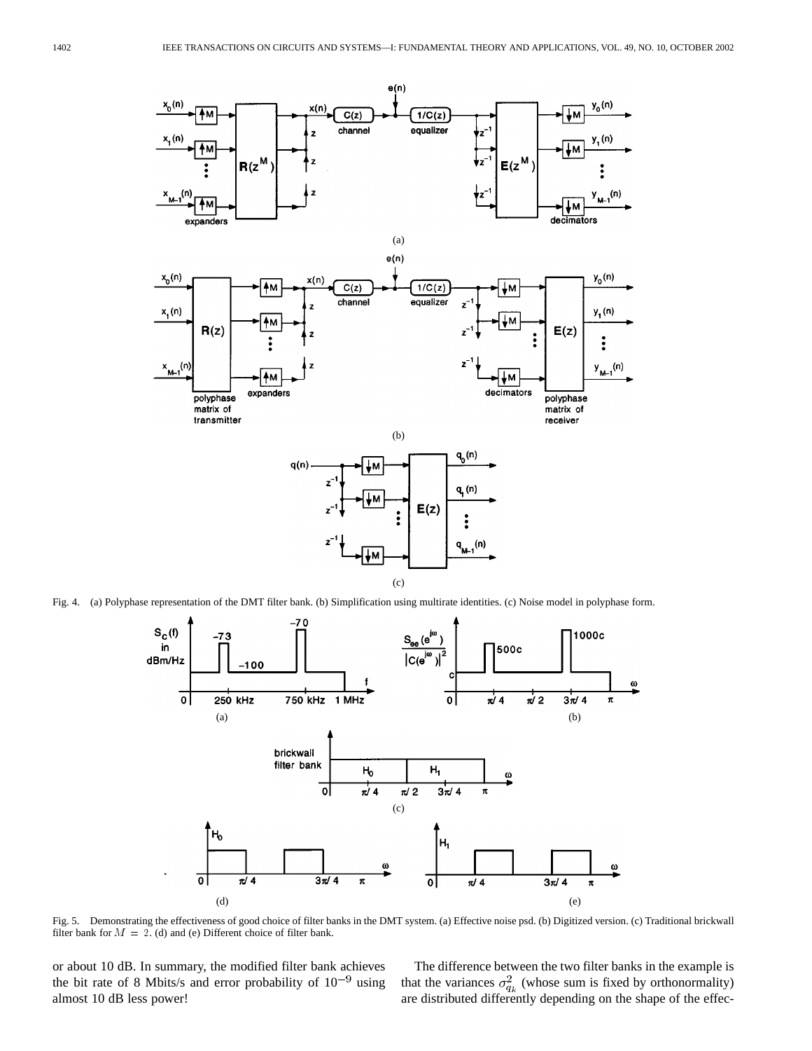

Fig. 4. (a) Polyphase representation of the DMT filter bank. (b) Simplification using multirate identities. (c) Noise model in polyphase form.



Fig. 5. Demonstrating the effectiveness of good choice of filter banks in the DMT system. (a) Effective noise psd. (b) Digitized version. (c) Traditional brickwall filter bank for  $M = 2$ . (d) and (e) Different choice of filter bank.

or about 10 dB. In summary, the modified filter bank achieves the bit rate of 8 Mbits/s and error probability of  $10^{-9}$  using almost 10 dB less power!

The difference between the two filter banks in the example is that the variances  $\sigma_{q_k}^2$  (whose sum is fixed by orthonormality) are distributed differently depending on the shape of the effec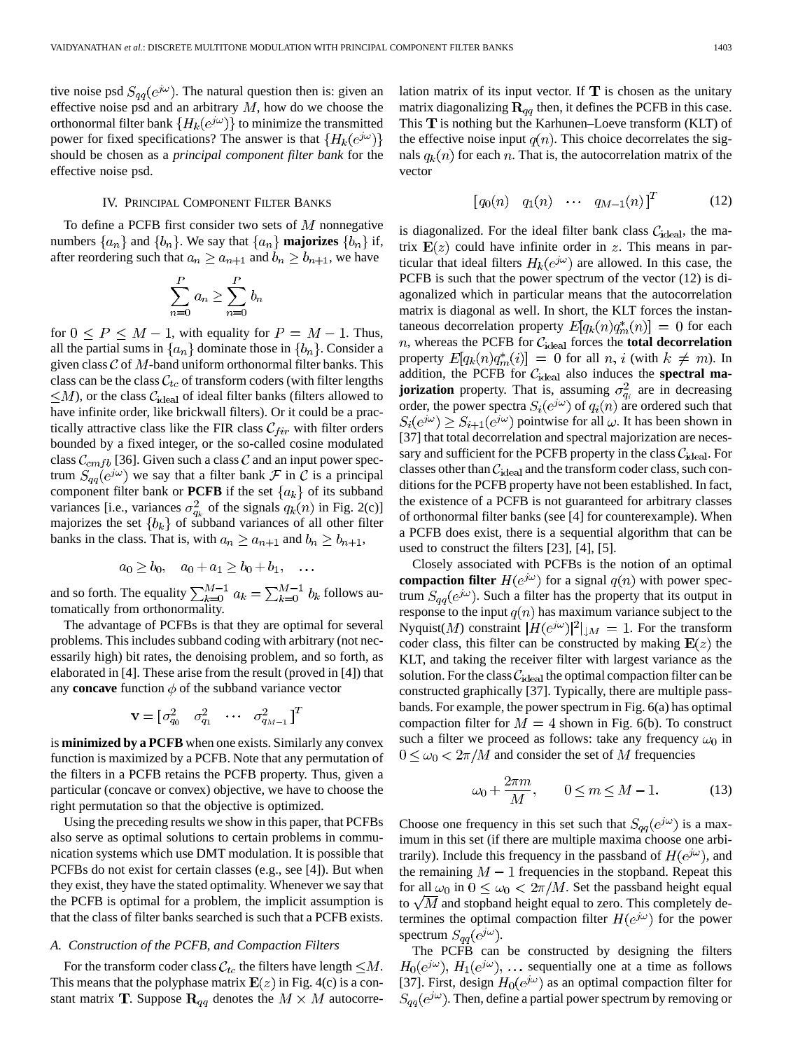tive noise psd  $S_{qq}(e^{j\omega})$ . The natural question then is: given an effective noise psd and an arbitrary  $M$ , how do we choose the orthonormal filter bank  $\{H_k(e^{j\omega})\}$  to minimize the transmitted power for fixed specifications? The answer is that  $\{H_k(e^{j\omega})\}$ should be chosen as a *principal component filter bank* for the effective noise psd.

## IV. PRINCIPAL COMPONENT FILTER BANKS

To define a PCFB first consider two sets of  $M$  nonnegative numbers  $\{a_n\}$  and  $\{b_n\}$ . We say that  $\{a_n\}$  **majorizes**  $\{b_n\}$  if, after reordering such that  $a_n \ge a_{n+1}$  and  $b_n \ge b_{n+1}$ , we have

$$
\sum_{n=0}^{P} a_n \ge \sum_{n=0}^{P} b_n
$$

for  $0 \le P \le M - 1$ , with equality for  $P = M - 1$ . Thus, all the partial sums in  $\{a_n\}$  dominate those in  $\{b_n\}$ . Consider a given class  $\mathcal C$  of  $M$ -band uniform orthonormal filter banks. This class can be the class  $C_{tc}$  of transform coders (with filter lengths  $\leq$ M), or the class  $\mathcal{C}_{\text{ideal}}$  of ideal filter banks (filters allowed to have infinite order, like brickwall filters). Or it could be a practically attractive class like the FIR class  $C_{fir}$  with filter orders bounded by a fixed integer, or the so-called cosine modulated class  $\mathcal{C}_{cmfb}$  [36]. Given such a class  $\mathcal{C}$  and an input power spectrum  $S_{qq}(e^{j\omega})$  we say that a filter bank  $\mathcal F$  in  $\mathcal C$  is a principal component filter bank or **PCFB** if the set  $\{a_k\}$  of its subband variances [i.e., variances  $\sigma_{q_k}^2$  of the signals  $q_k(n)$  in Fig. 2(c)] majorizes the set  ${b_k}$  of subband variances of all other filter banks in the class. That is, with  $a_n \ge a_{n+1}$  and  $b_n \ge b_{n+1}$ ,

$$
a_0 \ge b_0
$$
,  $a_0 + a_1 \ge b_0 + b_1$ , ...

and so forth. The equality  $\sum_{k=0}^{M-1} a_k = \sum_{k=0}^{M-1} b_k$  follows automatically from orthonormality.

The advantage of PCFBs is that they are optimal for several problems. This includes subband coding with arbitrary (not necessarily high) bit rates, the denoising problem, and so forth, as elaborated in [4]. These arise from the result (proved in [4]) that any **concave** function  $\phi$  of the subband variance vector

$$
\mathbf{v} = \begin{bmatrix} \sigma_{q_0}^2 & \sigma_{q_1}^2 & \cdots & \sigma_{q_{M-1}}^2 \end{bmatrix}^T
$$

is **minimized by a PCFB** when one exists. Similarly any convex function is maximized by a PCFB. Note that any permutation of the filters in a PCFB retains the PCFB property. Thus, given a particular (concave or convex) objective, we have to choose the right permutation so that the objective is optimized.

Using the preceding results we show in this paper, that PCFBs also serve as optimal solutions to certain problems in communication systems which use DMT modulation. It is possible that PCFBs do not exist for certain classes (e.g., see [4]). But when they exist, they have the stated optimality. Whenever we say that the PCFB is optimal for a problem, the implicit assumption is that the class of filter banks searched is such that a PCFB exists.

#### *A. Construction of the PCFB, and Compaction Filters*

For the transform coder class  $\mathcal{C}_{tc}$  the filters have length  $\leq M$ . This means that the polyphase matrix  $\mathbf{E}(z)$  in Fig. 4(c) is a constant matrix **T**. Suppose  $\mathbf{R}_{qq}$  denotes the  $M \times M$  autocorrelation matrix of its input vector. If  $T$  is chosen as the unitary matrix diagonalizing  $\mathbf{R}_{qq}$  then, it defines the PCFB in this case. This  $T$  is nothing but the Karhunen–Loeve transform (KLT) of the effective noise input  $q(n)$ . This choice decorrelates the signals  $q_k(n)$  for each n. That is, the autocorrelation matrix of the vector

$$
\begin{bmatrix} q_0(n) & q_1(n) & \cdots & q_{M-1}(n) \end{bmatrix}^T \tag{12}
$$

is diagonalized. For the ideal filter bank class  $C_{\text{ideal}}$ , the matrix  $E(z)$  could have infinite order in z. This means in particular that ideal filters  $H_k(e^{j\omega})$  are allowed. In this case, the PCFB is such that the power spectrum of the vector (12) is diagonalized which in particular means that the autocorrelation matrix is diagonal as well. In short, the KLT forces the instantaneous decorrelation property  $E[q_k(n)q_m^*(n)] = 0$  for each  $n$ , whereas the PCFB for  $C_{\text{ideal}}$  forces the **total decorrelation** property  $E[q_k(n)q_m^*(i)] = 0$  for all  $n, i$  (with  $k \neq m$ ). In addition, the PCFB for  $C_{\text{ideal}}$  also induces the **spectral majorization** property. That is, assuming  $\sigma_a^2$  are in decreasing order, the power spectra  $S_i(e^{j\omega})$  of  $q_i(n)$  are ordered such that  $S_i(e^{j\omega}) \geq S_{i+1}(e^{j\omega})$  pointwise for all  $\omega$ . It has been shown in [37] that total decorrelation and spectral majorization are necessary and sufficient for the PCFB property in the class  $C_{\text{ideal}}$ . For classes other than  $\mathcal{C}_{\text{ideal}}$  and the transform coder class, such conditions for the PCFB property have not been established. In fact, the existence of a PCFB is not guaranteed for arbitrary classes of orthonormal filter banks (see [4] for counterexample). When a PCFB does exist, there is a sequential algorithm that can be used to construct the filters [23], [4], [5].

Closely associated with PCFBs is the notion of an optimal **compaction filter**  $H(e^{j\omega})$  for a signal  $q(n)$  with power spectrum  $S_{qq}(e^{j\omega})$ . Such a filter has the property that its output in response to the input  $q(n)$  has maximum variance subject to the Nyquist(M) constraint  $|H(e^{j\omega})|^2|_{\downarrow M} = 1$ . For the transform coder class, this filter can be constructed by making  $E(z)$  the KLT, and taking the receiver filter with largest variance as the solution. For the class  $C_{\text{ideal}}$  the optimal compaction filter can be constructed graphically [37]. Typically, there are multiple passbands. For example, the power spectrum in Fig. 6(a) has optimal compaction filter for  $M = 4$  shown in Fig. 6(b). To construct such a filter we proceed as follows: take any frequency  $\omega_0$  in  $0 \leq \omega_0 < 2\pi/M$  and consider the set of M frequencies

$$
\omega_0 + \frac{2\pi m}{M}, \qquad 0 \le m \le M - 1. \tag{13}
$$

Choose one frequency in this set such that  $S_{qq}(e^{j\omega})$  is a maximum in this set (if there are multiple maxima choose one arbitrarily). Include this frequency in the passband of  $H(e^{j\omega})$ , and the remaining  $M-1$  frequencies in the stopband. Repeat this for all  $\omega_0$  in  $0 \leq \omega_0 < 2\pi/M$ . Set the passband height equal to  $\sqrt{M}$  and stopband height equal to zero. This completely determines the optimal compaction filter  $H(e^{j\omega})$  for the power spectrum  $S_{qq}(e^{j\omega})$ .

The PCFB can be constructed by designing the filters  $H_0(e^{j\omega}), H_1(e^{j\omega}), \ldots$  sequentially one at a time as follows [37]. First, design  $H_0(e^{j\omega})$  as an optimal compaction filter for  $S_{qq}(e^{j\omega})$ . Then, define a partial power spectrum by removing or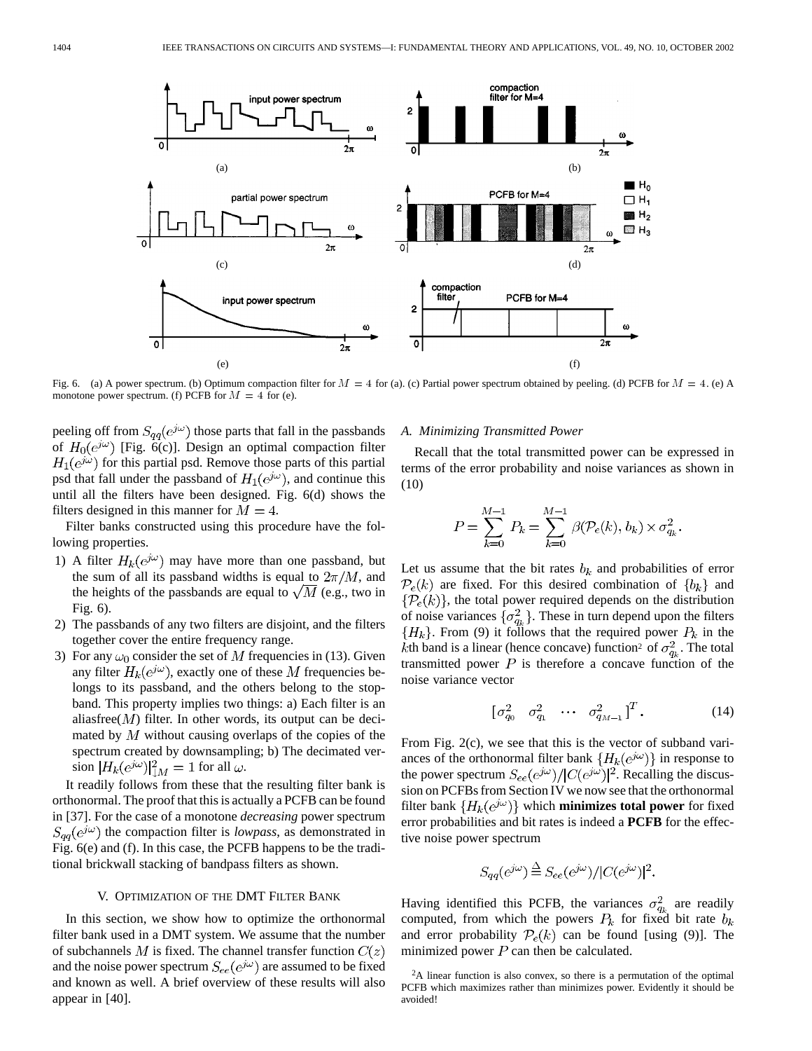

Fig. 6. (a) A power spectrum. (b) Optimum compaction filter for  $M = 4$  for (a). (c) Partial power spectrum obtained by peeling. (d) PCFB for  $M = 4$ . (e) A monotone power spectrum. (f) PCFB for  $M = 4$  for (e).

peeling off from  $S_{qq}(e^{j\omega})$  those parts that fall in the passbands of  $H_0(e^{j\omega})$  [Fig. 6(c)]. Design an optimal compaction filter  $H_1(e^{j\omega})$  for this partial psd. Remove those parts of this partial psd that fall under the passband of  $H_1(e^{j\omega})$ , and continue this until all the filters have been designed. Fig. 6(d) shows the filters designed in this manner for  $M = 4$ .

Filter banks constructed using this procedure have the following properties.

- 1) A filter  $H_k(e^{j\omega})$  may have more than one passband, but the sum of all its passband widths is equal to  $2\pi/M$ , and the heights of the passbands are equal to  $\sqrt{M}$  (e.g., two in Fig. 6).
- 2) The passbands of any two filters are disjoint, and the filters together cover the entire frequency range.
- 3) For any  $\omega_0$  consider the set of M frequencies in (13). Given any filter  $H_k(e^{j\omega})$ , exactly one of these M frequencies belongs to its passband, and the others belong to the stopband. This property implies two things: a) Each filter is an aliasfree $(M)$  filter. In other words, its output can be decimated by  $M$  without causing overlaps of the copies of the spectrum created by downsampling; b) The decimated version  $|H_k(e^{j\omega})|^2_{\perp M} = 1$  for all  $\omega$ .

It readily follows from these that the resulting filter bank is orthonormal. The proof that this is actually a PCFB can be found in [37]. For the case of a monotone *decreasing* power spectrum  $S_{qq}(e^{j\omega})$  the compaction filter is *lowpass*, as demonstrated in Fig. 6(e) and (f). In this case, the PCFB happens to be the traditional brickwall stacking of bandpass filters as shown.

## V. OPTIMIZATION OF THE DMT FILTER BANK

In this section, we show how to optimize the orthonormal filter bank used in a DMT system. We assume that the number of subchannels M is fixed. The channel transfer function  $C(z)$ and the noise power spectrum  $S_{ee}(e^{j\omega})$  are assumed to be fixed and known as well. A brief overview of these results will also appear in [40].

# *A. Minimizing Transmitted Power*

Recall that the total transmitted power can be expressed in terms of the error probability and noise variances as shown in (10)

$$
P = \sum_{k=0}^{M-1} P_k = \sum_{k=0}^{M-1} \beta(\mathcal{P}_e(k), b_k) \times \sigma_{q_k}^2.
$$

Let us assume that the bit rates  $b_k$  and probabilities of error  $\mathcal{P}_e(k)$  are fixed. For this desired combination of  $\{b_k\}$  and  $\{P_e(k)\}\$ , the total power required depends on the distribution of noise variances  $\{\sigma_{q_k}^2\}$ . These in turn depend upon the filters  ${H_k}$ . From (9) it follows that the required power  $P_k$  in the *k*th band is a linear (hence concave) function<sup>2</sup> of  $\sigma_{q_k}^2$ . The total transmitted power  $P$  is therefore a concave function of the noise variance vector

$$
\begin{bmatrix} \sigma_{q_0}^2 & \sigma_{q_1}^2 & \cdots & \sigma_{q_{M-1}}^2 \end{bmatrix}^T.
$$
 (14)

From Fig. 2(c), we see that this is the vector of subband variances of the orthonormal filter bank  $\{H_k(e^{j\omega})\}$  in response to the power spectrum  $S_{ee}(e^{j\omega})/|C(e^{j\omega})|^2$ . Recalling the discussion on PCFBs from Section IV we now see that the orthonormal filter bank  ${H_k(e^{j\omega})}$  which **minimizes total power** for fixed error probabilities and bit rates is indeed a **PCFB** for the effective noise power spectrum

$$
S_{qq}(e^{j\omega}) \stackrel{\Delta}{=} S_{ee}(e^{j\omega})/|C(e^{j\omega})|^2.
$$

Having identified this PCFB, the variances  $\sigma_{q_k}^2$  are readily computed, from which the powers  $P_k$  for fixed bit rate  $b_k$ and error probability  $\mathcal{P}_e(k)$  can be found [using (9)]. The minimized power  $P$  can then be calculated.

<sup>2</sup>A linear function is also convex, so there is a permutation of the optimal PCFB which maximizes rather than minimizes power. Evidently it should be avoided!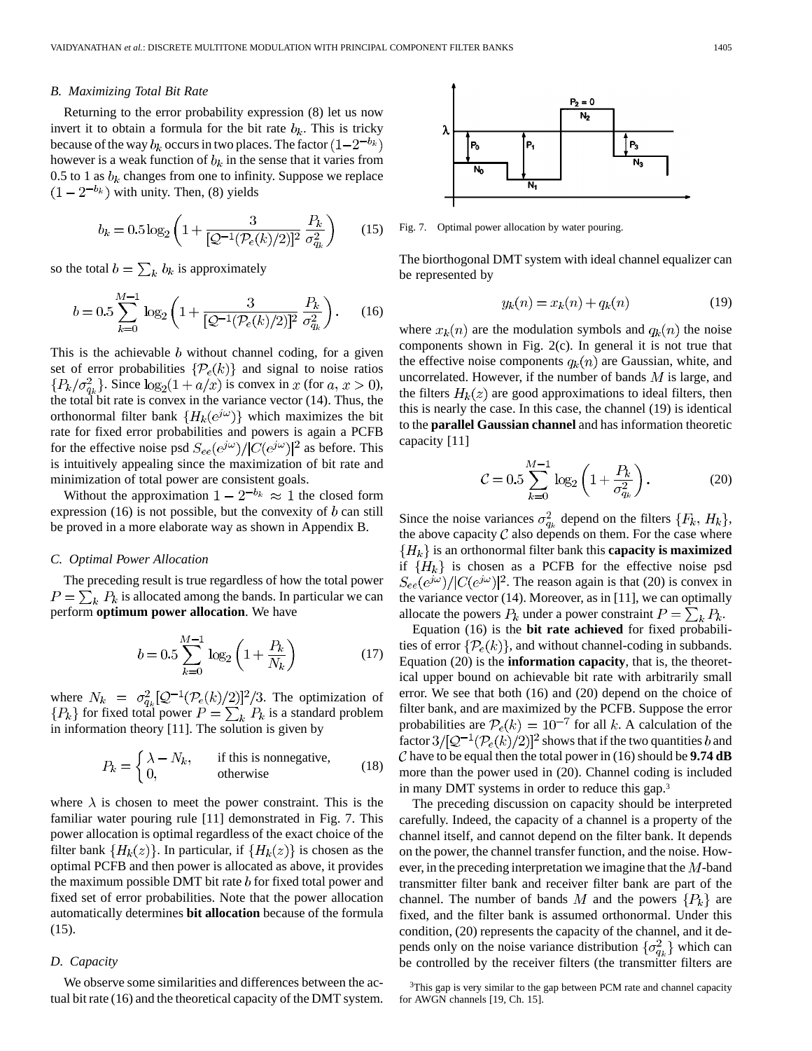#### *B. Maximizing Total Bit Rate*

Returning to the error probability expression (8) let us now invert it to obtain a formula for the bit rate  $b_k$ . This is tricky because of the way  $b_k$  occurs in two places. The factor  $(1-2^{-b_k})$ however is a weak function of  $b_k$  in the sense that it varies from 0.5 to 1 as  $b_k$  changes from one to infinity. Suppose we replace  $(1 - 2^{-b_k})$  with unity. Then, (8) yields

$$
b_k = 0.5 \log_2 \left( 1 + \frac{3}{[\mathcal{Q}^{-1}(\mathcal{P}_e(k)/2)]^2} \frac{P_k}{\sigma_{q_k}^2} \right) \tag{15}
$$

so the total  $b = \sum_k b_k$  is approximately

$$
b = 0.5 \sum_{k=0}^{M-1} \log_2 \left( 1 + \frac{3}{[\mathcal{Q}^{-1}(\mathcal{P}_e(k)/2)]^2} \frac{P_k}{\sigma_{q_k}^2} \right). \tag{16}
$$

This is the achievable  $b$  without channel coding, for a given set of error probabilities  $\{\mathcal{P}_{e}(k)\}\$  and signal to noise ratios  $\{P_k/\sigma_{q_k}^2\}$ . Since  $\log_2(1+a/x)$  is convex in x (for  $a, x > 0$ ), the total bit rate is convex in the variance vector (14). Thus, the orthonormal filter bank  $\{H_k(e^{j\omega})\}$  which maximizes the bit rate for fixed error probabilities and powers is again a PCFB for the effective noise psd  $S_{ee}(e^{j\omega})/|C(e^{j\omega})|^2$  as before. This is intuitively appealing since the maximization of bit rate and minimization of total power are consistent goals.

Without the approximation  $1 - 2^{-b_k} \approx 1$  the closed form expression (16) is not possible, but the convexity of  $b$  can still be proved in a more elaborate way as shown in Appendix B.

## *C. Optimal Power Allocation*

The preceding result is true regardless of how the total power  $P = \sum_k P_k$  is allocated among the bands. In particular we can perform **optimum power allocation**. We have

$$
b = 0.5 \sum_{k=0}^{M-1} \log_2 \left( 1 + \frac{P_k}{N_k} \right) \tag{17}
$$

where  $N_k = \sigma_{q_k}^2 [Q^{-1}(\mathcal{P}_e(k)/2)]^2/3$ . The optimization of for fixed total power  $P = \sum_k P_k$  is a standard problem in information theory [11]. The solution is given by

$$
P_k = \begin{cases} \lambda - N_k, & \text{if this is nonnegative,} \\ 0, & \text{otherwise} \end{cases}
$$
 (18)

where  $\lambda$  is chosen to meet the power constraint. This is the familiar water pouring rule [11] demonstrated in Fig. 7. This power allocation is optimal regardless of the exact choice of the filter bank  $\{H_k(z)\}\$ . In particular, if  $\{H_k(z)\}\$ is chosen as the optimal PCFB and then power is allocated as above, it provides the maximum possible DMT bit rate  $b$  for fixed total power and fixed set of error probabilities. Note that the power allocation automatically determines **bit allocation** because of the formula (15).

# *D. Capacity*

We observe some similarities and differences between the actual bit rate (16) and the theoretical capacity of the DMT system.



Fig. 7. Optimal power allocation by water pouring.

The biorthogonal DMT system with ideal channel equalizer can be represented by

$$
y_k(n) = x_k(n) + q_k(n) \tag{19}
$$

where  $x_k(n)$  are the modulation symbols and  $q_k(n)$  the noise components shown in Fig. 2(c). In general it is not true that the effective noise components  $q_k(n)$  are Gaussian, white, and uncorrelated. However, if the number of bands  $M$  is large, and the filters  $H_k(z)$  are good approximations to ideal filters, then this is nearly the case. In this case, the channel (19) is identical to the **parallel Gaussian channel** and has information theoretic capacity [11]

$$
C = 0.5 \sum_{k=0}^{M-1} \log_2 \left( 1 + \frac{P_k}{\sigma_{q_k}^2} \right). \tag{20}
$$

Since the noise variances  $\sigma_{q_k}^2$  depend on the filters  $\{F_k, H_k\}$ , the above capacity  $C$  also depends on them. For the case where  ${H_k}$  is an orthonormal filter bank this **capacity is maximized** if  ${H_k}$  is chosen as a PCFB for the effective noise psd  $S_{ee}(e^{j\omega})/|C(e^{j\omega})|^2$ . The reason again is that (20) is convex in the variance vector (14). Moreover, as in [11], we can optimally allocate the powers  $P_k$  under a power constraint  $P = \sum_k P_k$ .

Equation (16) is the **bit rate achieved** for fixed probabilities of error  $\{\mathcal{P}_e(k)\}\$ , and without channel-coding in subbands. Equation (20) is the **information capacity**, that is, the theoretical upper bound on achievable bit rate with arbitrarily small error. We see that both (16) and (20) depend on the choice of filter bank, and are maximized by the PCFB. Suppose the error probabilities are  $\mathcal{P}_e(k) = 10^{-7}$  for all k. A calculation of the factor  $3/[\mathcal{Q}^{-1}(\mathcal{P}_e(k)/2)]^2$  shows that if the two quantities b and  $\mathcal C$  have to be equal then the total power in (16) should be **9.74 dB** more than the power used in (20). Channel coding is included in many DMT systems in order to reduce this gap.3

The preceding discussion on capacity should be interpreted carefully. Indeed, the capacity of a channel is a property of the channel itself, and cannot depend on the filter bank. It depends on the power, the channel transfer function, and the noise. However, in the preceding interpretation we imagine that the  $M$ -band transmitter filter bank and receiver filter bank are part of the channel. The number of bands M and the powers  $\{P_k\}$  are fixed, and the filter bank is assumed orthonormal. Under this condition, (20) represents the capacity of the channel, and it depends only on the noise variance distribution  $\{\sigma_{q_k}^2\}$  which can be controlled by the receiver filters (the transmitter filters are

 $3$ This gap is very similar to the gap between PCM rate and channel capacity for AWGN channels [19, Ch. 15].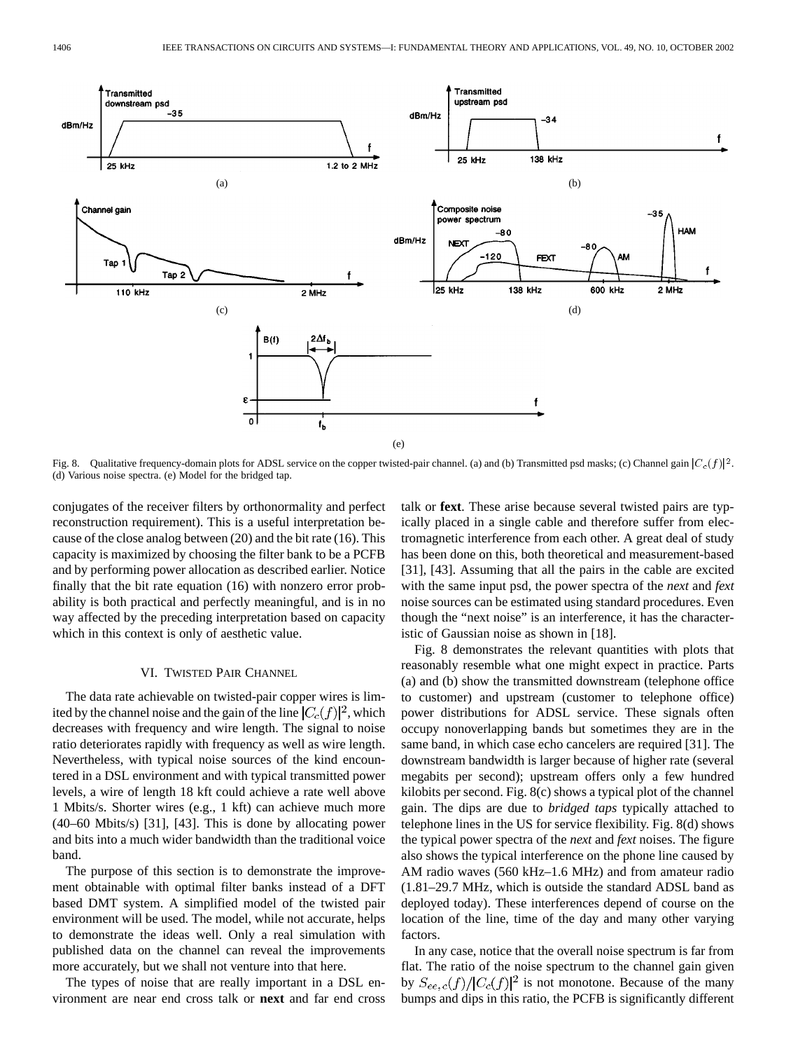

Fig. 8. Qualitative frequency-domain plots for ADSL service on the copper twisted-pair channel. (a) and (b) Transmitted psd masks; (c) Channel gain  $|C_c(f)|^2$ . (d) Various noise spectra. (e) Model for the bridged tap.

conjugates of the receiver filters by orthonormality and perfect reconstruction requirement). This is a useful interpretation because of the close analog between (20) and the bit rate (16). This capacity is maximized by choosing the filter bank to be a PCFB and by performing power allocation as described earlier. Notice finally that the bit rate equation (16) with nonzero error probability is both practical and perfectly meaningful, and is in no way affected by the preceding interpretation based on capacity which in this context is only of aesthetic value.

# VI. TWISTED PAIR CHANNEL

The data rate achievable on twisted-pair copper wires is limited by the channel noise and the gain of the line  $|C_c(f)|^2$ , which decreases with frequency and wire length. The signal to noise ratio deteriorates rapidly with frequency as well as wire length. Nevertheless, with typical noise sources of the kind encountered in a DSL environment and with typical transmitted power levels, a wire of length 18 kft could achieve a rate well above 1 Mbits/s. Shorter wires (e.g., 1 kft) can achieve much more (40–60 Mbits/s) [31], [43]. This is done by allocating power and bits into a much wider bandwidth than the traditional voice band.

The purpose of this section is to demonstrate the improvement obtainable with optimal filter banks instead of a DFT based DMT system. A simplified model of the twisted pair environment will be used. The model, while not accurate, helps to demonstrate the ideas well. Only a real simulation with published data on the channel can reveal the improvements more accurately, but we shall not venture into that here.

The types of noise that are really important in a DSL environment are near end cross talk or **next** and far end cross talk or **fext**. These arise because several twisted pairs are typically placed in a single cable and therefore suffer from electromagnetic interference from each other. A great deal of study has been done on this, both theoretical and measurement-based [31], [43]. Assuming that all the pairs in the cable are excited with the same input psd, the power spectra of the *next* and *fext* noise sources can be estimated using standard procedures. Even though the "next noise" is an interference, it has the characteristic of Gaussian noise as shown in [18].

Fig. 8 demonstrates the relevant quantities with plots that reasonably resemble what one might expect in practice. Parts (a) and (b) show the transmitted downstream (telephone office to customer) and upstream (customer to telephone office) power distributions for ADSL service. These signals often occupy nonoverlapping bands but sometimes they are in the same band, in which case echo cancelers are required [31]. The downstream bandwidth is larger because of higher rate (several megabits per second); upstream offers only a few hundred kilobits per second. Fig. 8(c) shows a typical plot of the channel gain. The dips are due to *bridged taps* typically attached to telephone lines in the US for service flexibility. Fig. 8(d) shows the typical power spectra of the *next* and *fext* noises. The figure also shows the typical interference on the phone line caused by AM radio waves (560 kHz–1.6 MHz) and from amateur radio (1.81–29.7 MHz, which is outside the standard ADSL band as deployed today). These interferences depend of course on the location of the line, time of the day and many other varying factors.

In any case, notice that the overall noise spectrum is far from flat. The ratio of the noise spectrum to the channel gain given by  $S_{ee, c}(f)/|C_c(f)|^2$  is not monotone. Because of the many bumps and dips in this ratio, the PCFB is significantly different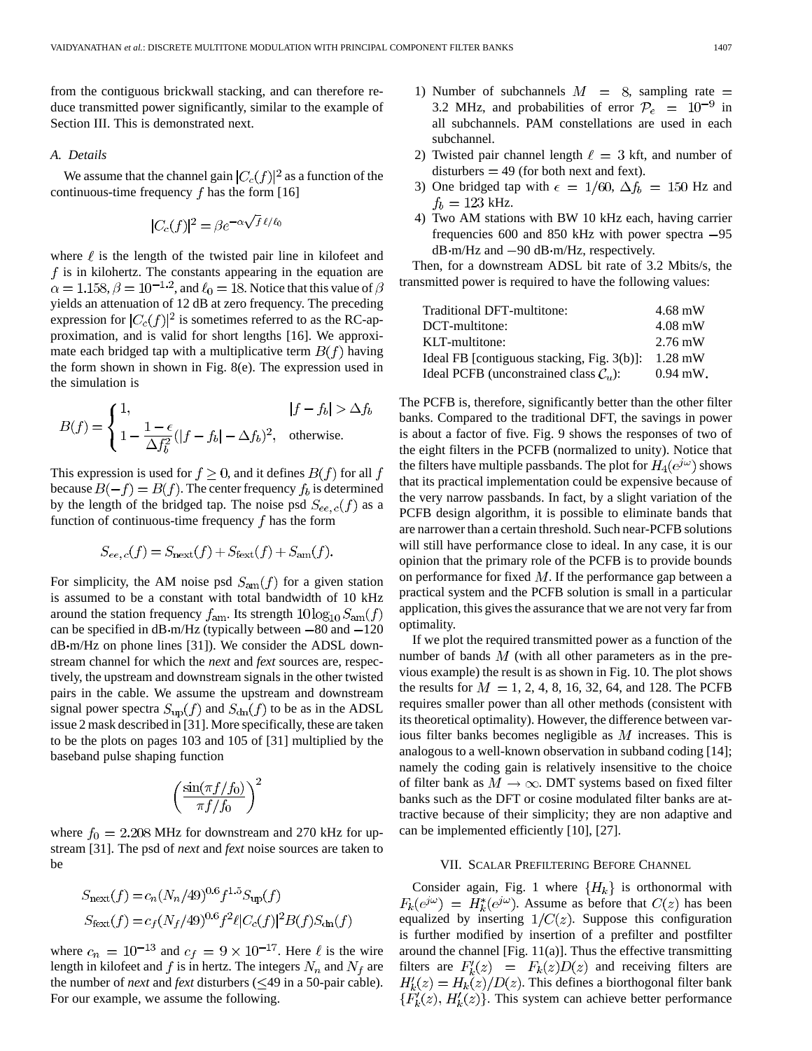from the contiguous brickwall stacking, and can therefore reduce transmitted power significantly, similar to the example of Section III. This is demonstrated next.

# *A. Details*

We assume that the channel gain  $|C_c(f)|^2$  as a function of the continuous-time frequency  $f$  has the form [16]

$$
|C_c(f)|^2 = \beta e^{-\alpha \sqrt{f} \ell/\ell_0}
$$

where  $\ell$  is the length of the twisted pair line in kilofeet and  $f$  is in kilohertz. The constants appearing in the equation are  $\alpha = 1.158, \beta = 10^{-1.2}$ , and  $\ell_0 = 18$ . Notice that this value of  $\beta$ yields an attenuation of 12 dB at zero frequency. The preceding expression for  $|C_c(f)|^2$  is sometimes referred to as the RC-approximation, and is valid for short lengths [16]. We approximate each bridged tap with a multiplicative term  $B(f)$  having the form shown in shown in Fig. 8(e). The expression used in the simulation is

$$
B(f) = \begin{cases} 1, & |f - f_b| > \Delta f_b \\ 1 - \frac{1 - \epsilon}{\Delta f_b^2} (|f - f_b| - \Delta f_b)^2, & \text{otherwise.} \end{cases}
$$

This expression is used for  $f \geq 0$ , and it defines  $B(f)$  for all f because  $B(-f) = B(f)$ . The center frequency  $f_b$  is determined by the length of the bridged tap. The noise psd  $S_{ee, c}(f)$  as a function of continuous-time frequency  $f$  has the form

$$
S_{ee, c}(f) = S_{\text{next}}(f) + S_{\text{fext}}(f) + S_{\text{am}}(f).
$$

For simplicity, the AM noise psd  $S_{\text{am}}(f)$  for a given station is assumed to be a constant with total bandwidth of 10 kHz around the station frequency  $f_{\text{am}}$ . Its strength  $10 \log_{10} S_{\text{am}}(f)$ can be specified in  $dB \cdot m/Hz$  (typically between  $-80$  and  $-120$ dB m/Hz on phone lines [31]). We consider the ADSL downstream channel for which the *next* and *fext* sources are, respectively, the upstream and downstream signals in the other twisted pairs in the cable. We assume the upstream and downstream signal power spectra  $S_{\text{up}}(f)$  and  $S_{\text{dn}}(f)$  to be as in the ADSL issue 2 mask described in [31]. More specifically, these are taken to be the plots on pages 103 and 105 of [31] multiplied by the baseband pulse shaping function

$$
\left(\frac{\sin(\pi f/f_0)}{\pi f/f_0}\right)^2
$$

where  $f_0 = 2.208 \text{ MHz}$  for downstream and 270 kHz for upstream [31]. The psd of *next* and *fext* noise sources are taken to be

$$
S_{\text{next}}(f) = c_n (N_n/49)^{0.6} f^{1.5} S_{\text{up}}(f)
$$
  

$$
S_{\text{fext}}(f) = c_f (N_f/49)^{0.6} f^2 \ell |C_c(f)|^2 B(f) S_{\text{dn}}(f)
$$

where  $c_n = 10^{-13}$  and  $c_f = 9 \times 10^{-17}$ . Here  $\ell$  is the wire length in kilofeet and f is in hertz. The integers  $N_n$  and  $N_f$  are the number of *next* and *fext* disturbers ( $\leq$ 49 in a 50-pair cable). For our example, we assume the following.

- 1) Number of subchannels  $M = 8$ , sampling rate = 3.2 MHz, and probabilities of error  $\mathcal{P}_e = 10^{-9}$  in all subchannels. PAM constellations are used in each subchannel.
- 2) Twisted pair channel length  $\ell = 3$  kft, and number of disturbers  $=$  49 (for both next and fext).
- 3) One bridged tap with  $\epsilon = 1/60$ ,  $\Delta f_b = 150$  Hz and  $f_b = 123$  kHz.
- 4) Two AM stations with BW 10 kHz each, having carrier frequencies  $600$  and  $850$  kHz with power spectra  $-95$  $dB \cdot m/Hz$  and  $-90$  dB $\cdot m/Hz$ , respectively.

Then, for a downstream ADSL bit rate of 3.2 Mbits/s, the transmitted power is required to have the following values:

| Traditional DFT-multitone:                 | $4.68$ mW  |
|--------------------------------------------|------------|
| DCT-multitone:                             | $4.08$ mW  |
| KLT-multitone:                             | $2.76$ mW  |
| Ideal FB [contiguous stacking, Fig. 3(b)]: | $1.28$ mW  |
| Ideal PCFB (unconstrained class $C_n$ ):   | $0.94$ mW. |

The PCFB is, therefore, significantly better than the other filter banks. Compared to the traditional DFT, the savings in power is about a factor of five. Fig. 9 shows the responses of two of the eight filters in the PCFB (normalized to unity). Notice that the filters have multiple passbands. The plot for  $H_4(e^{j\omega})$  shows that its practical implementation could be expensive because of the very narrow passbands. In fact, by a slight variation of the PCFB design algorithm, it is possible to eliminate bands that are narrower than a certain threshold. Such near-PCFB solutions will still have performance close to ideal. In any case, it is our opinion that the primary role of the PCFB is to provide bounds on performance for fixed  $M$ . If the performance gap between a practical system and the PCFB solution is small in a particular application, this gives the assurance that we are not very far from optimality.

If we plot the required transmitted power as a function of the number of bands  $M$  (with all other parameters as in the previous example) the result is as shown in Fig. 10. The plot shows the results for  $M = 1, 2, 4, 8, 16, 32, 64,$  and 128. The PCFB requires smaller power than all other methods (consistent with its theoretical optimality). However, the difference between various filter banks becomes negligible as  $M$  increases. This is analogous to a well-known observation in subband coding [14]; namely the coding gain is relatively insensitive to the choice of filter bank as  $M \to \infty$ . DMT systems based on fixed filter banks such as the DFT or cosine modulated filter banks are attractive because of their simplicity; they are non adaptive and can be implemented efficiently [10], [27].

#### VII. SCALAR PREFILTERING BEFORE CHANNEL

Consider again, Fig. 1 where  $\{H_k\}$  is orthonormal with  $F_k(e^{j\omega}) = H_k^*(e^{j\omega})$ . Assume as before that  $C(z)$  has been equalized by inserting  $1/C(z)$ . Suppose this configuration is further modified by insertion of a prefilter and postfilter around the channel  $[Fig. 11(a)]$ . Thus the effective transmitting filters are  $F'_k(z) = F_k(z)D(z)$  and receiving filters are  $H'_{k}(z) = H_{k}(z)/D(z)$ . This defines a biorthogonal filter bank  $\{F'_k(z), H'_k(z)\}.$  This system can achieve better performance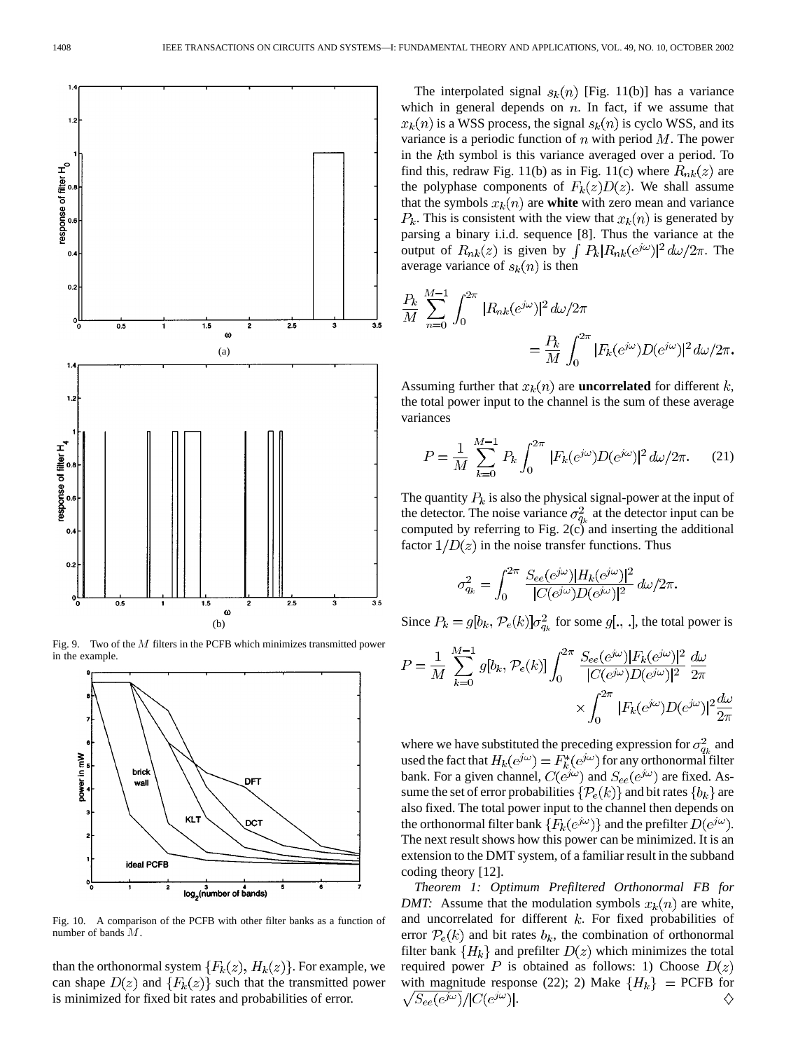

Fig. 9. Two of the M filters in the PCFB which minimizes transmitted power in the example.



Fig. 10. A comparison of the PCFB with other filter banks as a function of number of bands M.

than the orthonormal system  $\{F_k(z), H_k(z)\}$ . For example, we can shape  $D(z)$  and  $\{F_k(z)\}\$  such that the transmitted power is minimized for fixed bit rates and probabilities of error.

The interpolated signal  $s_k(n)$  [Fig. 11(b)] has a variance which in general depends on  $n$ . In fact, if we assume that  $x_k(n)$  is a WSS process, the signal  $s_k(n)$  is cyclo WSS, and its variance is a periodic function of  $n$  with period  $M$ . The power in the kth symbol is this variance averaged over a period. To find this, redraw Fig. 11(b) as in Fig. 11(c) where  $R_{nk}(z)$  are the polyphase components of  $F_k(z)D(z)$ . We shall assume that the symbols  $x_k(n)$  are **white** with zero mean and variance  $P_k$ . This is consistent with the view that  $x_k(n)$  is generated by parsing a binary i.i.d. sequence [8]. Thus the variance at the output of  $R_{nk}(z)$  is given by  $\int P_k |R_{nk}(e^{j\omega})|^2 d\omega/2\pi$ . The average variance of  $s_k(n)$  is then

$$
\frac{P_k}{M} \sum_{n=0}^{M-1} \int_0^{2\pi} |R_{nk}(e^{j\omega})|^2 d\omega / 2\pi
$$
  
= 
$$
\frac{P_k}{M} \int_0^{2\pi} |F_k(e^{j\omega})D(e^{j\omega})|^2 d\omega / 2\pi.
$$

Assuming further that  $x_k(n)$  are **uncorrelated** for different k, the total power input to the channel is the sum of these average variances

$$
P = \frac{1}{M} \sum_{k=0}^{M-1} P_k \int_0^{2\pi} |F_k(e^{j\omega})D(e^{j\omega})|^2 d\omega / 2\pi.
$$
 (21)

The quantity  $P_k$  is also the physical signal-power at the input of the detector. The noise variance  $\sigma_{q_k}^2$  at the detector input can be computed by referring to Fig. 2(c) and inserting the additional factor  $1/D(z)$  in the noise transfer functions. Thus

$$
\sigma_{q_k}^2 = \int_0^{2\pi} \frac{S_{ee}(e^{j\omega}) |H_k(e^{j\omega})|^2}{|C(e^{j\omega})D(e^{j\omega})|^2} d\omega / 2\pi.
$$

Since  $P_k = g[b_k, \mathcal{P}_e(k)] \sigma_{q_k}^2$  for some  $g[., .]$ , the total power is

$$
P = \frac{1}{M} \sum_{k=0}^{M-1} g[b_k, \mathcal{P}_e(k)] \int_0^{2\pi} \frac{S_{ee}(e^{j\omega}) |F_k(e^{j\omega})|^2}{|C(e^{j\omega})D(e^{j\omega})|^2} \frac{d\omega}{2\pi}
$$

$$
\times \int_0^{2\pi} |F_k(e^{j\omega})D(e^{j\omega})|^2 \frac{d\omega}{2\pi}
$$

where we have substituted the preceding expression for  $\sigma_{a_n}^2$  and used the fact that  $H_k(e^{j\omega}) = F_k^*(e^{j\omega})$  for any orthonormal filter bank. For a given channel,  $C(e^{j\omega})$  and  $S_{ee}(e^{j\omega})$  are fixed. Assume the set of error probabilities  $\{\mathcal{P}_e(k)\}\$  and bit rates  $\{b_k\}$  are also fixed. The total power input to the channel then depends on the orthonormal filter bank  $\{F_k(e^{j\omega})\}$  and the prefilter  $D(e^{j\omega})$ . The next result shows how this power can be minimized. It is an extension to the DMT system, of a familiar result in the subband coding theory [12].

*Theorem 1: Optimum Prefiltered Orthonormal FB for DMT:* Assume that the modulation symbols  $x_k(n)$  are white, and uncorrelated for different  $k$ . For fixed probabilities of error  $\mathcal{P}_e(k)$  and bit rates  $b_k$ , the combination of orthonormal filter bank  $\{H_k\}$  and prefilter  $D(z)$  which minimizes the total required power P is obtained as follows: 1) Choose  $D(z)$ with magnitude response (22); 2) Make  ${H_k}$  = PCFB for  $\sqrt{S_{ee}(e^{j\omega})}/|C(e^{j\omega})|$ . ♦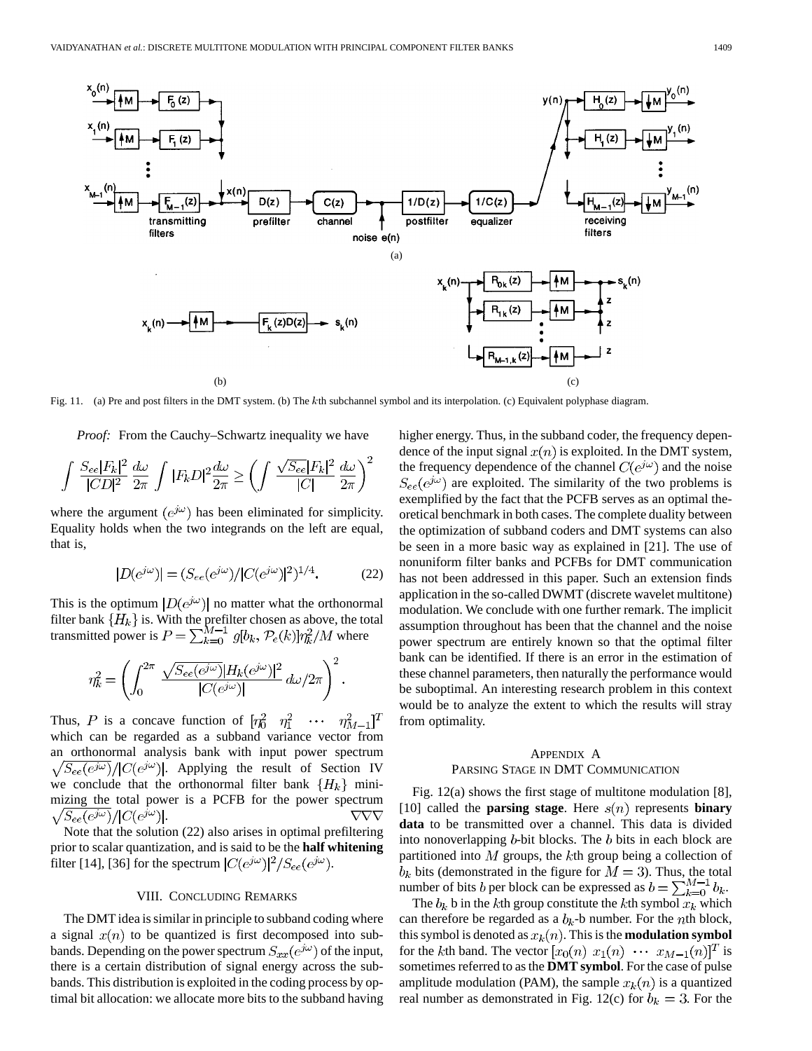

Fig. 11. (a) Pre and post filters in the DMT system. (b) The kth subchannel symbol and its interpolation. (c) Equivalent polyphase diagram.

*Proof:* From the Cauchy–Schwartz inequality we have

$$
\int \frac{S_{ee}|F_k|^2}{|CD|^2} \frac{d\omega}{2\pi} \int |F_k D|^2 \frac{d\omega}{2\pi} \ge \left(\int \frac{\sqrt{S_{ee}}|F_k|^2}{|C|} \frac{d\omega}{2\pi}\right)^2
$$

where the argument  $(e^{j\omega})$  has been eliminated for simplicity. Equality holds when the two integrands on the left are equal, that is,

$$
|D(e^{j\omega})| = (S_{ee}(e^{j\omega})/|C(e^{j\omega})|^2)^{1/4}.
$$
 (22)

This is the optimum  $|D(e^{j\omega})|$  no matter what the orthonormal filter bank  $\{H_k\}$  is. With the prefilter chosen as above, the total transmitted power is  $P = \sum_{k=0}^{M-1} g[b_k, \mathcal{P}_e(k)] \eta_k^2/M$  where

$$
\eta_k^2 = \left( \int_0^{2\pi} \frac{\sqrt{S_{ee}(e^{j\omega})} |H_k(e^{j\omega})|^2}{|C(e^{j\omega})|} d\omega / 2\pi \right)^2.
$$

Thus, P is a concave function of  $[\eta_0^2 \quad \eta_1^2 \quad \cdots \quad \eta_{M-1}^2]^T$ which can be regarded as a subband variance vector from an orthonormal analysis bank with input power spectrum  $\sqrt{S_{ee}(e^{j\omega})}/|C(e^{j\omega})|$ . Applying the result of Section IV we conclude that the orthonormal filter bank  $\{H_k\}$  minimizing the total power is a PCFB for the power spectrum  $\sqrt{S_{ee}(e^{j\omega})}/|C(e^{j\omega})|$ .  $\nabla\nabla\nabla$ Note that the solution (22) also arises in optimal prefiltering

prior to scalar quantization, and is said to be the **half whitening** filter [14], [36] for the spectrum  $|C(e^{j\omega})|^2/S_{ee}(e^{j\omega})$ .

## VIII. CONCLUDING REMARKS

The DMT idea is similar in principle to subband coding where a signal  $x(n)$  to be quantized is first decomposed into subbands. Depending on the power spectrum  $S_{xx}(e^{j\omega})$  of the input, there is a certain distribution of signal energy across the subbands. This distribution is exploited in the coding process by optimal bit allocation: we allocate more bits to the subband having higher energy. Thus, in the subband coder, the frequency dependence of the input signal  $x(n)$  is exploited. In the DMT system, the frequency dependence of the channel  $C(e^{j\omega})$  and the noise  $S_{ee}(e^{j\omega})$  are exploited. The similarity of the two problems is exemplified by the fact that the PCFB serves as an optimal theoretical benchmark in both cases. The complete duality between the optimization of subband coders and DMT systems can also be seen in a more basic way as explained in [21]. The use of nonuniform filter banks and PCFBs for DMT communication has not been addressed in this paper. Such an extension finds application in the so-called DWMT (discrete wavelet multitone) modulation. We conclude with one further remark. The implicit assumption throughout has been that the channel and the noise power spectrum are entirely known so that the optimal filter bank can be identified. If there is an error in the estimation of these channel parameters, then naturally the performance would be suboptimal. An interesting research problem in this context would be to analyze the extent to which the results will stray from optimality.

# APPENDIX A PARSING STAGE IN DMT COMMUNICATION

Fig. 12(a) shows the first stage of multitone modulation [8], [10] called the **parsing stage**. Here  $s(n)$  represents **binary data** to be transmitted over a channel. This data is divided into nonoverlapping  $b$ -bit blocks. The  $b$  bits in each block are partitioned into  $M$  groups, the  $k$ th group being a collection of  $b_k$  bits (demonstrated in the figure for  $M = 3$ ). Thus, the total number of bits b per block can be expressed as  $b = \sum_{k=0}^{M-1} b_k$ .

The  $b_k$  b in the kth group constitute the kth symbol  $x_k$  which can therefore be regarded as a  $b_k$ -b number. For the *n*th block, this symbol is denoted as  $x_k(n)$ . This is the **modulation symbol** for the kth band. The vector  $[x_0(n) \ x_1(n) \ \cdots \ x_{M-1}(n)]^T$  is sometimes referred to as the **DMT symbol**. For the case of pulse amplitude modulation (PAM), the sample  $x_k(n)$  is a quantized real number as demonstrated in Fig. 12(c) for  $b_k = 3$ . For the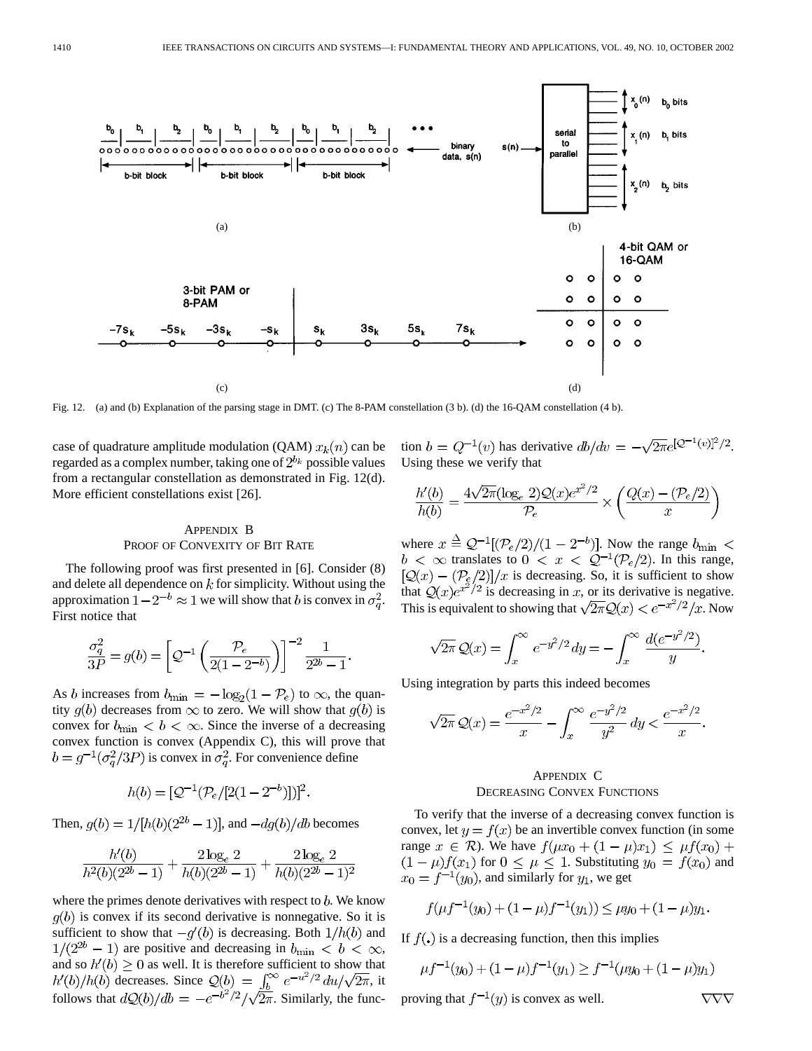

Fig. 12. (a) and (b) Explanation of the parsing stage in DMT. (c) The 8-PAM constellation (3 b). (d) the 16-QAM constellation (4 b).

case of quadrature amplitude modulation (QAM)  $x_k(n)$  can be regarded as a complex number, taking one of  $2^{b_k}$  possible values from a rectangular constellation as demonstrated in Fig. 12(d). More efficient constellations exist [26].

# APPENDIX B PROOF OF CONVEXITY OF BIT RATE

The following proof was first presented in [6]. Consider (8) and delete all dependence on  $k$  for simplicity. Without using the approximation  $1 - 2^{-b} \approx 1$  we will show that b is convex in  $\sigma_a^2$ . First notice that

$$
\frac{\sigma_q^2}{3P} = g(b) = \left[ \mathcal{Q}^{-1} \left( \frac{\mathcal{P}_e}{2(1 - 2^{-b})} \right) \right]^{-2} \frac{1}{2^{2b} - 1}
$$

As b increases from  $b_{\min} = -\log_2(1 - \mathcal{P}_e)$  to  $\infty$ , the quantity  $q(b)$  decreases from  $\infty$  to zero. We will show that  $q(b)$  is convex for  $b_{\min} < b < \infty$ . Since the inverse of a decreasing convex function is convex (Appendix C), this will prove that is convex in  $\sigma_a^2$ . For convenience define

$$
h(b) = [\mathcal{Q}^{-1}(\mathcal{P}_e/[2(1-2^{-b})])]^2
$$

Then,  $g(b) = 1/[h(b)(2^{2b} - 1)]$ , and  $-dg(b)/db$  becomes

$$
\frac{h'(b)}{h^2(b)(2^{2b}-1)} + \frac{2\log_e 2}{h(b)(2^{2b}-1)} + \frac{2\log_e 2}{h(b)(2^{2b}-1)^2}
$$

where the primes denote derivatives with respect to  $b$ . We know  $q(b)$  is convex if its second derivative is nonnegative. So it is sufficient to show that  $-g'(b)$  is decreasing. Both  $1/h(b)$  and  $1/(2^{2b} - 1)$  are positive and decreasing in  $b_{\min} < b < \infty$ , and so  $h'(b) \geq 0$  as well. It is therefore sufficient to show that decreases. Since  $\mathcal{Q}(b) = \int_b^{\infty} e^{-u^2/2} du / \sqrt{2\pi}$ , it follows that  $d\mathcal{Q}(b)/db = -e^{-b^2/2}/\sqrt{2\pi}$ . Similarly, the function  $b = Q^{-1}(v)$  has derivative  $db/dv = -\sqrt{2\pi}e^{[Q^{-1}(v)]^2/2}$ . Using these we verify that

$$
\frac{h'(b)}{h(b)} = \frac{4\sqrt{2\pi}(\log_e 2) \mathcal{Q}(x) e^{x^2/2}}{\mathcal{P}_e} \times \left(\frac{\mathcal{Q}(x) - (\mathcal{P}_e/2)}{x}\right)
$$

where  $x \triangleq Q^{-1}[(P_e/2)/(1 - 2^{-b})]$ . Now the range  $b_{\min}$  <  $b < \infty$  translates to  $0 < x < \mathcal{Q}^{-1}(\mathcal{P}_e/2)$ . In this range,  $[Q(x) - (P_e/2)]/x$  is decreasing. So, it is sufficient to show that  $Q(x)e^{x^2/2}$  is decreasing in x, or its derivative is negative. This is equivalent to showing that  $\sqrt{2\pi}Q(x) < e^{-x^2/2}/x$ . Now

$$
\sqrt{2\pi} \mathcal{Q}(x) = \int_x^{\infty} e^{-y^2/2} dy = -\int_x^{\infty} \frac{d(e^{-y^2/2})}{y} dx
$$

Using integration by parts this indeed becomes

$$
\sqrt{2\pi} \mathcal{Q}(x) = \frac{e^{-x^2/2}}{x} - \int_x^{\infty} \frac{e^{-y^2/2}}{y^2} dy < \frac{e^{-x^2/2}}{x}.
$$

## APPENDIX C DECREASING CONVEX FUNCTIONS

To verify that the inverse of a decreasing convex function is convex, let  $y = f(x)$  be an invertible convex function (in some range  $x \in \mathcal{R}$ ). We have  $f(\mu x_0 + (1 - \mu)x_1) \leq \mu f(x_0) +$  $(1 - \mu)f(x_1)$  for  $0 \le \mu \le 1$ . Substituting  $y_0 = f(x_0)$  and  $x_0 = f^{-1}(y_0)$ , and similarly for  $y_1$ , we get

$$
f(\mu f^{-1}(y_0) + (1 - \mu)f^{-1}(y_1)) \le \mu y_0 + (1 - \mu)y_1.
$$

If  $f(.)$  is a decreasing function, then this implies

$$
\mu f^{-1}(y_0) + (1 - \mu)f^{-1}(y_1) \ge f^{-1}(\mu y_0 + (1 - \mu)y_1)
$$

 $\nabla \nabla \nabla$ 

proving that  $f^{-1}(y)$  is convex as well.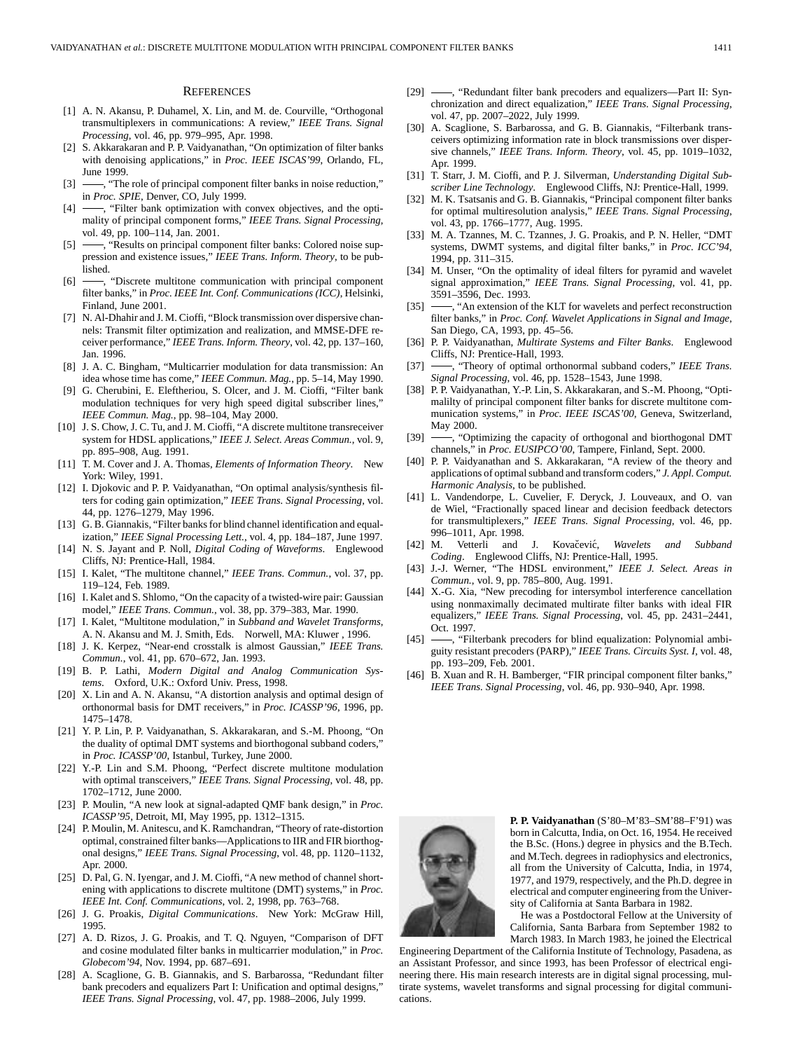#### **REFERENCES**

- [1] A. N. Akansu, P. Duhamel, X. Lin, and M. de. Courville, "Orthogonal transmultiplexers in communications: A review," *IEEE Trans. Signal Processing*, vol. 46, pp. 979–995, Apr. 1998.
- [2] S. Akkarakaran and P. P. Vaidyanathan, "On optimization of filter banks with denoising applications," in *Proc. IEEE ISCAS'99*, Orlando, FL, June 1999.
- [3]  $\rightarrow$ , "The role of principal component filter banks in noise reduction," in *Proc. SPIE*, Denver, CO, July 1999.
- [4]  $\frac{1}{\sqrt{2}}$  "Filter bank optimization with convex objectives, and the optimality of principal component forms," *IEEE Trans. Signal Processing*, vol. 49, pp. 100–114, Jan. 2001.
- [5]  $\rightarrow$  "Results on principal component filter banks: Colored noise suppression and existence issues," *IEEE Trans. Inform. Theory*, to be published.
- [6]  $\rightarrow$ , "Discrete multitone communication with principal component filter banks," in *Proc. IEEE Int. Conf. Communications (ICC)*, Helsinki, Finland, June 2001.
- [7] N. Al-Dhahir and J. M. Cioffi, "Block transmission over dispersive channels: Transmit filter optimization and realization, and MMSE-DFE receiver performance," *IEEE Trans. Inform. Theory*, vol. 42, pp. 137–160, Jan. 1996.
- [8] J. A. C. Bingham, "Multicarrier modulation for data transmission: An idea whose time has come," *IEEE Commun. Mag.*, pp. 5–14, May 1990.
- [9] G. Cherubini, E. Eleftheriou, S. Olcer, and J. M. Cioffi, "Filter bank modulation techniques for very high speed digital subscriber lines," *IEEE Commun. Mag.*, pp. 98–104, May 2000.
- [10] J. S. Chow, J. C. Tu, and J. M. Cioffi, "A discrete multitone transreceiver system for HDSL applications," *IEEE J. Select. Areas Commun.*, vol. 9, pp. 895–908, Aug. 1991.
- [11] T. M. Cover and J. A. Thomas, *Elements of Information Theory*. New York: Wiley, 1991.
- [12] I. Djokovic and P. P. Vaidyanathan, "On optimal analysis/synthesis filters for coding gain optimization," *IEEE Trans. Signal Processing*, vol. 44, pp. 1276–1279, May 1996.
- [13] G. B. Giannakis, "Filter banks for blind channel identification and equalization," *IEEE Signal Processing Lett.*, vol. 4, pp. 184–187, June 1997.
- [14] N. S. Jayant and P. Noll, *Digital Coding of Waveforms*. Englewood Cliffs, NJ: Prentice-Hall, 1984.
- [15] I. Kalet, "The multitone channel," *IEEE Trans. Commun.*, vol. 37, pp. 119–124, Feb. 1989.
- [16] I. Kalet and S. Shlomo, "On the capacity of a twisted-wire pair: Gaussian model," *IEEE Trans. Commun.*, vol. 38, pp. 379–383, Mar. 1990.
- [17] I. Kalet, "Multitone modulation," in *Subband and Wavelet Transforms*, A. N. Akansu and M. J. Smith, Eds. Norwell, MA: Kluwer , 1996.
- [18] J. K. Kerpez, "Near-end crosstalk is almost Gaussian," *IEEE Trans. Commun.*, vol. 41, pp. 670–672, Jan. 1993.
- [19] B. P. Lathi, *Modern Digital and Analog Communication Systems*. Oxford, U.K.: Oxford Univ. Press, 1998.
- [20] X. Lin and A. N. Akansu, "A distortion analysis and optimal design of orthonormal basis for DMT receivers," in *Proc. ICASSP'96*, 1996, pp. 1475–1478.
- [21] Y. P. Lin, P. P. Vaidyanathan, S. Akkarakaran, and S.-M. Phoong, "On the duality of optimal DMT systems and biorthogonal subband coders," in *Proc. ICASSP'00*, Istanbul, Turkey, June 2000.
- [22] Y.-P. Lin and S.M. Phoong, "Perfect discrete multitone modulation with optimal transceivers," *IEEE Trans. Signal Processing*, vol. 48, pp. 1702–1712, June 2000.
- [23] P. Moulin, "A new look at signal-adapted QMF bank design," in *Proc. ICASSP'95*, Detroit, MI, May 1995, pp. 1312–1315.
- [24] P. Moulin, M. Anitescu, and K. Ramchandran, "Theory of rate-distortion optimal, constrained filter banks—Applications to IIR and FIR biorthogonal designs," *IEEE Trans. Signal Processing*, vol. 48, pp. 1120–1132, Apr. 2000.
- [25] D. Pal, G. N. Iyengar, and J. M. Cioffi, "A new method of channel shortening with applications to discrete multitone (DMT) systems," in *Proc. IEEE Int. Conf. Communications*, vol. 2, 1998, pp. 763–768.
- [26] J. G. Proakis, *Digital Communications*. New York: McGraw Hill, 1995.
- [27] A. D. Rizos, J. G. Proakis, and T. Q. Nguyen, "Comparison of DFT and cosine modulated filter banks in multicarrier modulation," in *Proc. Globecom'94*, Nov. 1994, pp. 687–691.
- [28] A. Scaglione, G. B. Giannakis, and S. Barbarossa, "Redundant filter bank precoders and equalizers Part I: Unification and optimal designs, *IEEE Trans. Signal Processing*, vol. 47, pp. 1988–2006, July 1999.
- [29] -, "Redundant filter bank precoders and equalizers--- Part II: Synchronization and direct equalization," *IEEE Trans. Signal Processing*, vol. 47, pp. 2007–2022, July 1999.
- [30] A. Scaglione, S. Barbarossa, and G. B. Giannakis, "Filterbank transceivers optimizing information rate in block transmissions over dispersive channels," *IEEE Trans. Inform. Theory*, vol. 45, pp. 1019–1032, Apr. 1999.
- [31] T. Starr, J. M. Cioffi, and P. J. Silverman, *Understanding Digital Subscriber Line Technology*. Englewood Cliffs, NJ: Prentice-Hall, 1999.
- [32] M. K. Tsatsanis and G. B. Giannakis, "Principal component filter banks for optimal multiresolution analysis," *IEEE Trans. Signal Processing*, vol. 43, pp. 1766–1777, Aug. 1995.
- [33] M. A. Tzannes, M. C. Tzannes, J. G. Proakis, and P. N. Heller, "DMT systems, DWMT systems, and digital filter banks," in *Proc. ICC'94*, 1994, pp. 311–315.
- [34] M. Unser, "On the optimality of ideal filters for pyramid and wavelet signal approximation," *IEEE Trans. Signal Processing*, vol. 41, pp. 3591–3596, Dec. 1993.
- [35] , "An extension of the KLT for wavelets and perfect reconstruction filter banks," in *Proc. Conf. Wavelet Applications in Signal and Image*, San Diego, CA, 1993, pp. 45–56.
- [36] P. P. Vaidyanathan, *Multirate Systems and Filter Banks*. Englewood Cliffs, NJ: Prentice-Hall, 1993.
- [37] , "Theory of optimal orthonormal subband coders," *IEEE Trans. Signal Processing*, vol. 46, pp. 1528–1543, June 1998.
- [38] P. P. Vaidyanathan, Y.-P. Lin, S. Akkarakaran, and S.-M. Phoong, "Optimalilty of principal component filter banks for discrete multitone communication systems," in *Proc. IEEE ISCAS'00*, Geneva, Switzerland, May 2000.
- [39] -, "Optimizing the capacity of orthogonal and biorthogonal DMT channels," in *Proc. EUSIPCO'00*, Tampere, Finland, Sept. 2000.
- [40] P. P. Vaidyanathan and S. Akkarakaran, "A review of the theory and applications of optimal subband and transform coders," *J. Appl. Comput. Harmonic Analysis*, to be published.
- [41] L. Vandendorpe, L. Cuvelier, F. Deryck, J. Louveaux, and O. van de Wiel, "Fractionally spaced linear and decision feedback detectors for transmultiplexers," *IEEE Trans. Signal Processing*, vol. 46, pp. 996–1011, Apr. 1998.
- [42] M. Vetterli and J. Kovačević, Wavelets and Subband *Coding*. Englewood Cliffs, NJ: Prentice-Hall, 1995.
- [43] J.-J. Werner, "The HDSL environment," *IEEE J. Select. Areas in Commun.*, vol. 9, pp. 785–800, Aug. 1991.
- [44] X.-G. Xia, "New precoding for intersymbol interference cancellation using nonmaximally decimated multirate filter banks with ideal FIR equalizers," *IEEE Trans. Signal Processing*, vol. 45, pp. 2431–2441, Oct. 1997.
- [45] -, "Filterbank precoders for blind equalization: Polynomial ambiguity resistant precoders (PARP)," *IEEE Trans. Circuits Syst. I*, vol. 48, pp. 193–209, Feb. 2001.
- [46] B. Xuan and R. H. Bamberger, "FIR principal component filter banks," *IEEE Trans. Signal Processing*, vol. 46, pp. 930–940, Apr. 1998.



**P. P. Vaidyanathan** (S'80–M'83–SM'88–F'91) was born in Calcutta, India, on Oct. 16, 1954. He received the B.Sc. (Hons.) degree in physics and the B.Tech. and M.Tech. degrees in radiophysics and electronics, all from the University of Calcutta, India, in 1974, 1977, and 1979, respectively, and the Ph.D. degree in electrical and computer engineering from the University of California at Santa Barbara in 1982.

He was a Postdoctoral Fellow at the University of California, Santa Barbara from September 1982 to March 1983. In March 1983, he joined the Electrical

Engineering Department of the California Institute of Technology, Pasadena, as an Assistant Professor, and since 1993, has been Professor of electrical engineering there. His main research interests are in digital signal processing, multirate systems, wavelet transforms and signal processing for digital communications.